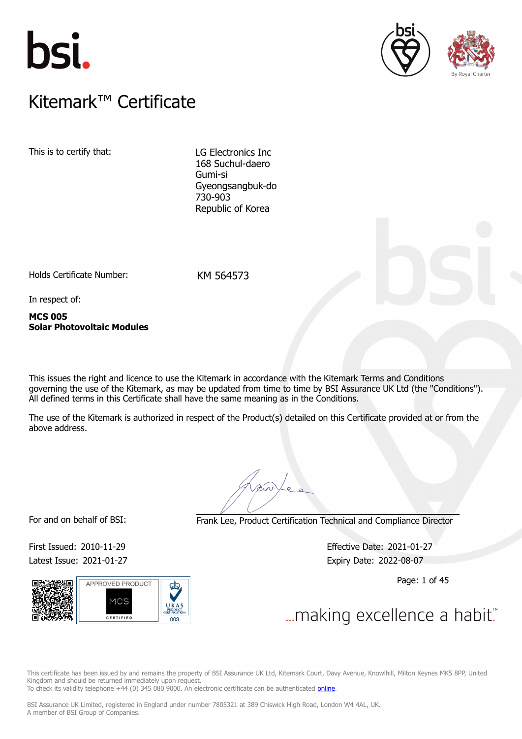





### $K$ itemark $W$  Certificate Kitemark™ Certificate

This is to certify that: LG Electronics Inc

168 Suchul-daero Gumi-si Gyeongsangbuk-do 730-903 Republic of Korea

Holds Certificate Number: KM 564573

In respect of:

**MCS 005 Solar Photovoltaic Modules**

This issues the right and licence to use the Kitemark in accordance with the Kitemark Terms and Conditions governing the use of the Kitemark, as may be updated from time to time by BSI Assurance UK Ltd (the "Conditions"). All defined terms in this Certificate shall have the same meaning as in the Conditions.

The use of the Kitemark is authorized in respect of the Product(s) detailed on this Certificate provided at or from the above address.

For and on behalf of BSI: Frank Lee, Product Certification Technical and Compliance Director

Latest Issue: 2021-01-27 Expiry Date: 2022-08-07



First Issued: 2010-11-29 Effective Date: 2021-01-27

Page: 1 of 45

This certificate has been issued by and remains the property of BSI Assurance UK Ltd, Kitemark Court, Davy Avenue, Knowlhill, Milton Keynes MK5 8PP, United Kingdom and should be returned immediately upon request.

To check its validity telephone +44 (0) 345 080 9000. An electronic certificate can be authenticated *[online](https://pgplus.bsigroup.com/CertificateValidation/CertificateValidator.aspx?CertificateNumber=KM+564573&ReIssueDate=27%2f01%2f2021&Template=uk)*.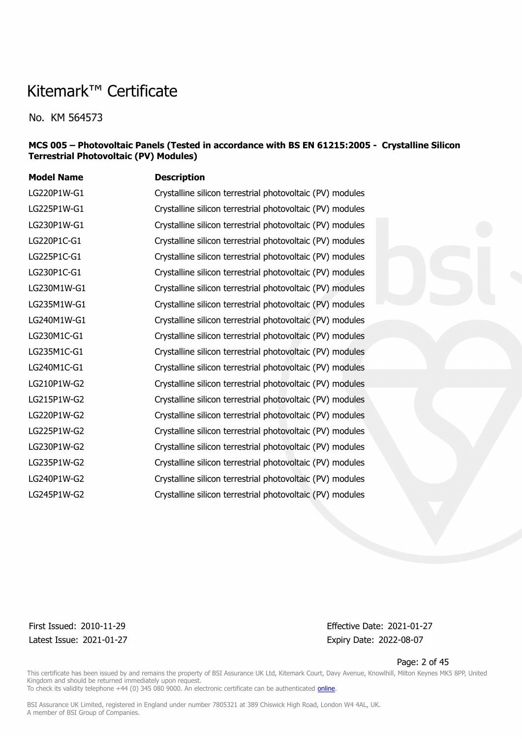No. KM 564573

#### **MCS 005 – Photovoltaic Panels (Tested in accordance with BS EN 61215:2005 - Crystalline Silicon Terrestrial Photovoltaic (PV) Modules)**

| <b>Description</b>                                        |
|-----------------------------------------------------------|
| Crystalline silicon terrestrial photovoltaic (PV) modules |
| Crystalline silicon terrestrial photovoltaic (PV) modules |
| Crystalline silicon terrestrial photovoltaic (PV) modules |
| Crystalline silicon terrestrial photovoltaic (PV) modules |
| Crystalline silicon terrestrial photovoltaic (PV) modules |
| Crystalline silicon terrestrial photovoltaic (PV) modules |
| Crystalline silicon terrestrial photovoltaic (PV) modules |
| Crystalline silicon terrestrial photovoltaic (PV) modules |
| Crystalline silicon terrestrial photovoltaic (PV) modules |
| Crystalline silicon terrestrial photovoltaic (PV) modules |
| Crystalline silicon terrestrial photovoltaic (PV) modules |
| Crystalline silicon terrestrial photovoltaic (PV) modules |
| Crystalline silicon terrestrial photovoltaic (PV) modules |
| Crystalline silicon terrestrial photovoltaic (PV) modules |
| Crystalline silicon terrestrial photovoltaic (PV) modules |
| Crystalline silicon terrestrial photovoltaic (PV) modules |
| Crystalline silicon terrestrial photovoltaic (PV) modules |
| Crystalline silicon terrestrial photovoltaic (PV) modules |
| Crystalline silicon terrestrial photovoltaic (PV) modules |
| Crystalline silicon terrestrial photovoltaic (PV) modules |
|                                                           |

Latest Issue: 2021-01-27 Expiry Date: 2022-08-07

First Issued: 2010-11-29 Effective Date: 2021-01-27

Page: 2 of 45

This certificate has been issued by and remains the property of BSI Assurance UK Ltd, Kitemark Court, Davy Avenue, Knowlhill, Milton Keynes MK5 8PP, United Kingdom and should be returned immediately upon request. To check its validity telephone +44 (0) 345 080 9000. An electronic certificate can be authenticated *[online](https://pgplus.bsigroup.com/CertificateValidation/CertificateValidator.aspx?CertificateNumber=KM+564573&ReIssueDate=27%2f01%2f2021&Template=uk)*.

BSI Assurance UK Limited, registered in England under number 7805321 at 389 Chiswick High Road, London W4 4AL, UK.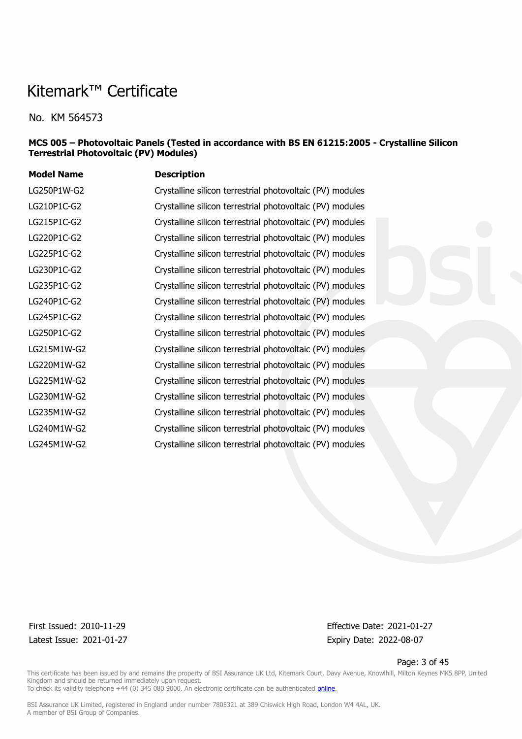No. KM 564573

#### **MCS 005 – Photovoltaic Panels (Tested in accordance with BS EN 61215:2005 - Crystalline Silicon Terrestrial Photovoltaic (PV) Modules)**

| <b>Model Name</b> | <b>Description</b>                                        |
|-------------------|-----------------------------------------------------------|
| LG250P1W-G2       | Crystalline silicon terrestrial photovoltaic (PV) modules |
| LG210P1C-G2       | Crystalline silicon terrestrial photovoltaic (PV) modules |
| LG215P1C-G2       | Crystalline silicon terrestrial photovoltaic (PV) modules |
| LG220P1C-G2       | Crystalline silicon terrestrial photovoltaic (PV) modules |
| LG225P1C-G2       | Crystalline silicon terrestrial photovoltaic (PV) modules |
| LG230P1C-G2       | Crystalline silicon terrestrial photovoltaic (PV) modules |
| LG235P1C-G2       | Crystalline silicon terrestrial photovoltaic (PV) modules |
| LG240P1C-G2       | Crystalline silicon terrestrial photovoltaic (PV) modules |
| LG245P1C-G2       | Crystalline silicon terrestrial photovoltaic (PV) modules |
| LG250P1C-G2       | Crystalline silicon terrestrial photovoltaic (PV) modules |
| LG215M1W-G2       | Crystalline silicon terrestrial photovoltaic (PV) modules |
| LG220M1W-G2       | Crystalline silicon terrestrial photovoltaic (PV) modules |
| LG225M1W-G2       | Crystalline silicon terrestrial photovoltaic (PV) modules |
| LG230M1W-G2       | Crystalline silicon terrestrial photovoltaic (PV) modules |
| LG235M1W-G2       | Crystalline silicon terrestrial photovoltaic (PV) modules |
| LG240M1W-G2       | Crystalline silicon terrestrial photovoltaic (PV) modules |
| LG245M1W-G2       | Crystalline silicon terrestrial photovoltaic (PV) modules |
|                   |                                                           |

Latest Issue: 2021-01-27 Expiry Date: 2022-08-07

First Issued: 2010-11-29 Effective Date: 2021-01-27

Page: 3 of 45

This certificate has been issued by and remains the property of BSI Assurance UK Ltd, Kitemark Court, Davy Avenue, Knowlhill, Milton Keynes MK5 8PP, United Kingdom and should be returned immediately upon request. To check its validity telephone +44 (0) 345 080 9000. An electronic certificate can be authenticated *[online](https://pgplus.bsigroup.com/CertificateValidation/CertificateValidator.aspx?CertificateNumber=KM+564573&ReIssueDate=27%2f01%2f2021&Template=uk)*.

BSI Assurance UK Limited, registered in England under number 7805321 at 389 Chiswick High Road, London W4 4AL, UK.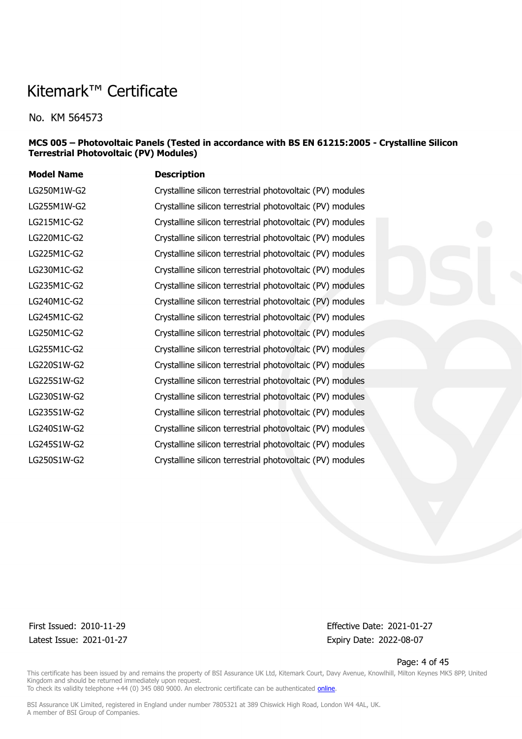No. KM 564573

#### **MCS 005 – Photovoltaic Panels (Tested in accordance with BS EN 61215:2005 - Crystalline Silicon Terrestrial Photovoltaic (PV) Modules)**

| <b>Model Name</b> | <b>Description</b>                                        |
|-------------------|-----------------------------------------------------------|
| LG250M1W-G2       | Crystalline silicon terrestrial photovoltaic (PV) modules |
| LG255M1W-G2       | Crystalline silicon terrestrial photovoltaic (PV) modules |
| LG215M1C-G2       | Crystalline silicon terrestrial photovoltaic (PV) modules |
| LG220M1C-G2       | Crystalline silicon terrestrial photovoltaic (PV) modules |
| LG225M1C-G2       | Crystalline silicon terrestrial photovoltaic (PV) modules |
| LG230M1C-G2       | Crystalline silicon terrestrial photovoltaic (PV) modules |
| LG235M1C-G2       | Crystalline silicon terrestrial photovoltaic (PV) modules |
| LG240M1C-G2       | Crystalline silicon terrestrial photovoltaic (PV) modules |
| LG245M1C-G2       | Crystalline silicon terrestrial photovoltaic (PV) modules |
| LG250M1C-G2       | Crystalline silicon terrestrial photovoltaic (PV) modules |
| LG255M1C-G2       | Crystalline silicon terrestrial photovoltaic (PV) modules |
| LG220S1W-G2       | Crystalline silicon terrestrial photovoltaic (PV) modules |
| LG225S1W-G2       | Crystalline silicon terrestrial photovoltaic (PV) modules |
| LG230S1W-G2       | Crystalline silicon terrestrial photovoltaic (PV) modules |
| LG235S1W-G2       | Crystalline silicon terrestrial photovoltaic (PV) modules |
| LG240S1W-G2       | Crystalline silicon terrestrial photovoltaic (PV) modules |
| LG245S1W-G2       | Crystalline silicon terrestrial photovoltaic (PV) modules |
| LG250S1W-G2       | Crystalline silicon terrestrial photovoltaic (PV) modules |
|                   |                                                           |

Latest Issue: 2021-01-27 Expiry Date: 2022-08-07

First Issued: 2010-11-29 Effective Date: 2021-01-27

Page: 4 of 45

This certificate has been issued by and remains the property of BSI Assurance UK Ltd, Kitemark Court, Davy Avenue, Knowlhill, Milton Keynes MK5 8PP, United Kingdom and should be returned immediately upon request. To check its validity telephone +44 (0) 345 080 9000. An electronic certificate can be authenticated *[online](https://pgplus.bsigroup.com/CertificateValidation/CertificateValidator.aspx?CertificateNumber=KM+564573&ReIssueDate=27%2f01%2f2021&Template=uk)*.

BSI Assurance UK Limited, registered in England under number 7805321 at 389 Chiswick High Road, London W4 4AL, UK.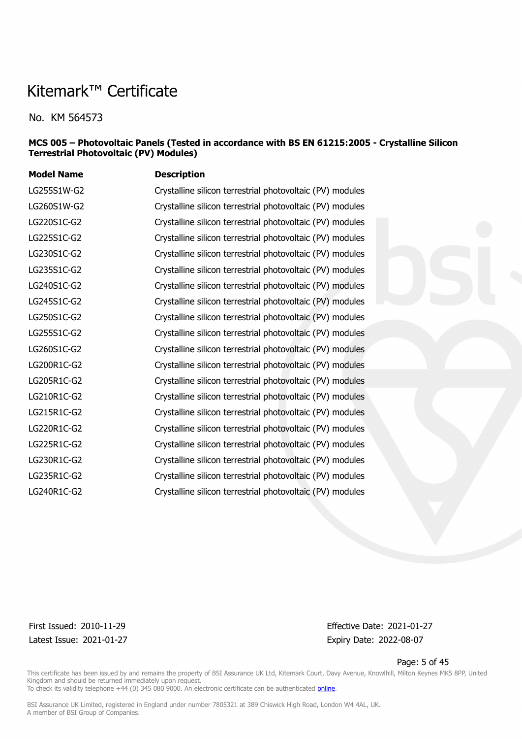No. KM 564573

#### **MCS 005 – Photovoltaic Panels (Tested in accordance with BS EN 61215:2005 - Crystalline Silicon Terrestrial Photovoltaic (PV) Modules)**

| <b>Model Name</b> | <b>Description</b>                                        |
|-------------------|-----------------------------------------------------------|
| LG255S1W-G2       | Crystalline silicon terrestrial photovoltaic (PV) modules |
| LG260S1W-G2       | Crystalline silicon terrestrial photovoltaic (PV) modules |
| LG220S1C-G2       | Crystalline silicon terrestrial photovoltaic (PV) modules |
| LG225S1C-G2       | Crystalline silicon terrestrial photovoltaic (PV) modules |
| LG230S1C-G2       | Crystalline silicon terrestrial photovoltaic (PV) modules |
| LG235S1C-G2       | Crystalline silicon terrestrial photovoltaic (PV) modules |
| LG240S1C-G2       | Crystalline silicon terrestrial photovoltaic (PV) modules |
| LG245S1C-G2       | Crystalline silicon terrestrial photovoltaic (PV) modules |
| LG250S1C-G2       | Crystalline silicon terrestrial photovoltaic (PV) modules |
| LG255S1C-G2       | Crystalline silicon terrestrial photovoltaic (PV) modules |
| LG260S1C-G2       | Crystalline silicon terrestrial photovoltaic (PV) modules |
| LG200R1C-G2       | Crystalline silicon terrestrial photovoltaic (PV) modules |
| LG205R1C-G2       | Crystalline silicon terrestrial photovoltaic (PV) modules |
| LG210R1C-G2       | Crystalline silicon terrestrial photovoltaic (PV) modules |
| LG215R1C-G2       | Crystalline silicon terrestrial photovoltaic (PV) modules |
| LG220R1C-G2       | Crystalline silicon terrestrial photovoltaic (PV) modules |
| LG225R1C-G2       | Crystalline silicon terrestrial photovoltaic (PV) modules |
| LG230R1C-G2       | Crystalline silicon terrestrial photovoltaic (PV) modules |
| LG235R1C-G2       | Crystalline silicon terrestrial photovoltaic (PV) modules |
| LG240R1C-G2       | Crystalline silicon terrestrial photovoltaic (PV) modules |
|                   |                                                           |

Latest Issue: 2021-01-27 Expiry Date: 2022-08-07

First Issued: 2010-11-29 Effective Date: 2021-01-27

Page: 5 of 45

This certificate has been issued by and remains the property of BSI Assurance UK Ltd, Kitemark Court, Davy Avenue, Knowlhill, Milton Keynes MK5 8PP, United Kingdom and should be returned immediately upon request. To check its validity telephone +44 (0) 345 080 9000. An electronic certificate can be authenticated *[online](https://pgplus.bsigroup.com/CertificateValidation/CertificateValidator.aspx?CertificateNumber=KM+564573&ReIssueDate=27%2f01%2f2021&Template=uk)*.

BSI Assurance UK Limited, registered in England under number 7805321 at 389 Chiswick High Road, London W4 4AL, UK.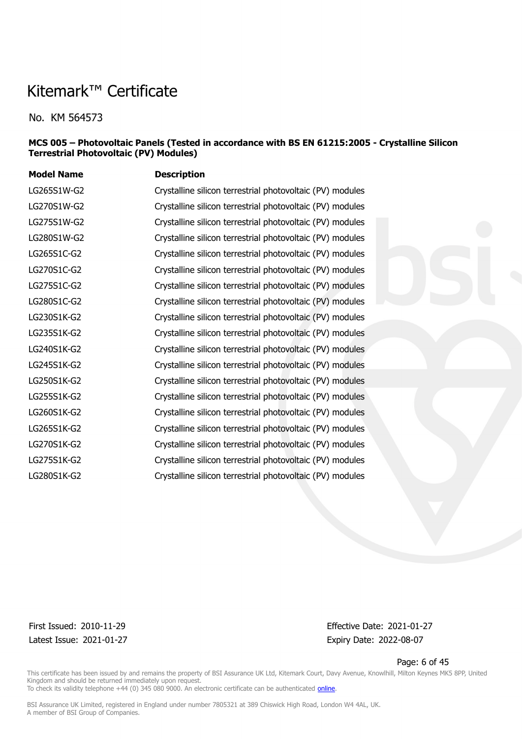No. KM 564573

#### **MCS 005 – Photovoltaic Panels (Tested in accordance with BS EN 61215:2005 - Crystalline Silicon Terrestrial Photovoltaic (PV) Modules)**

| <b>Model Name</b> | <b>Description</b>                                        |
|-------------------|-----------------------------------------------------------|
| LG265S1W-G2       | Crystalline silicon terrestrial photovoltaic (PV) modules |
| LG270S1W-G2       | Crystalline silicon terrestrial photovoltaic (PV) modules |
| LG275S1W-G2       | Crystalline silicon terrestrial photovoltaic (PV) modules |
| LG280S1W-G2       | Crystalline silicon terrestrial photovoltaic (PV) modules |
| LG265S1C-G2       | Crystalline silicon terrestrial photovoltaic (PV) modules |
| LG270S1C-G2       | Crystalline silicon terrestrial photovoltaic (PV) modules |
| LG275S1C-G2       | Crystalline silicon terrestrial photovoltaic (PV) modules |
| LG280S1C-G2       | Crystalline silicon terrestrial photovoltaic (PV) modules |
| LG230S1K-G2       | Crystalline silicon terrestrial photovoltaic (PV) modules |
| LG235S1K-G2       | Crystalline silicon terrestrial photovoltaic (PV) modules |
| LG240S1K-G2       | Crystalline silicon terrestrial photovoltaic (PV) modules |
| LG245S1K-G2       | Crystalline silicon terrestrial photovoltaic (PV) modules |
| LG250S1K-G2       | Crystalline silicon terrestrial photovoltaic (PV) modules |
| LG255S1K-G2       | Crystalline silicon terrestrial photovoltaic (PV) modules |
| LG260S1K-G2       | Crystalline silicon terrestrial photovoltaic (PV) modules |
| LG265S1K-G2       | Crystalline silicon terrestrial photovoltaic (PV) modules |
| LG270S1K-G2       | Crystalline silicon terrestrial photovoltaic (PV) modules |
| LG275S1K-G2       | Crystalline silicon terrestrial photovoltaic (PV) modules |
| LG280S1K-G2       | Crystalline silicon terrestrial photovoltaic (PV) modules |

Latest Issue: 2021-01-27 Expiry Date: 2022-08-07

First Issued: 2010-11-29 Effective Date: 2021-01-27

Page: 6 of 45

This certificate has been issued by and remains the property of BSI Assurance UK Ltd, Kitemark Court, Davy Avenue, Knowlhill, Milton Keynes MK5 8PP, United Kingdom and should be returned immediately upon request. To check its validity telephone +44 (0) 345 080 9000. An electronic certificate can be authenticated *[online](https://pgplus.bsigroup.com/CertificateValidation/CertificateValidator.aspx?CertificateNumber=KM+564573&ReIssueDate=27%2f01%2f2021&Template=uk)*.

BSI Assurance UK Limited, registered in England under number 7805321 at 389 Chiswick High Road, London W4 4AL, UK.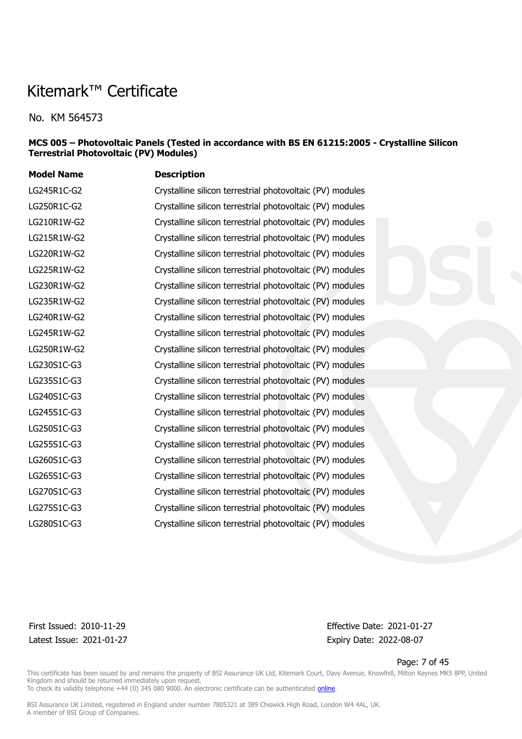No. KM 564573

#### **MCS 005 – Photovoltaic Panels (Tested in accordance with BS EN 61215:2005 - Crystalline Silicon Terrestrial Photovoltaic (PV) Modules)**

| <b>Model Name</b> | <b>Description</b>                                        |
|-------------------|-----------------------------------------------------------|
| LG245R1C-G2       | Crystalline silicon terrestrial photovoltaic (PV) modules |
| LG250R1C-G2       | Crystalline silicon terrestrial photovoltaic (PV) modules |
| LG210R1W-G2       | Crystalline silicon terrestrial photovoltaic (PV) modules |
| LG215R1W-G2       | Crystalline silicon terrestrial photovoltaic (PV) modules |
| LG220R1W-G2       | Crystalline silicon terrestrial photovoltaic (PV) modules |
| LG225R1W-G2       | Crystalline silicon terrestrial photovoltaic (PV) modules |
| LG230R1W-G2       | Crystalline silicon terrestrial photovoltaic (PV) modules |
| LG235R1W-G2       | Crystalline silicon terrestrial photovoltaic (PV) modules |
| LG240R1W-G2       | Crystalline silicon terrestrial photovoltaic (PV) modules |
| LG245R1W-G2       | Crystalline silicon terrestrial photovoltaic (PV) modules |
| LG250R1W-G2       | Crystalline silicon terrestrial photovoltaic (PV) modules |
| LG230S1C-G3       | Crystalline silicon terrestrial photovoltaic (PV) modules |
| LG235S1C-G3       | Crystalline silicon terrestrial photovoltaic (PV) modules |
| LG240S1C-G3       | Crystalline silicon terrestrial photovoltaic (PV) modules |
| LG245S1C-G3       | Crystalline silicon terrestrial photovoltaic (PV) modules |
| LG250S1C-G3       | Crystalline silicon terrestrial photovoltaic (PV) modules |
| LG255S1C-G3       | Crystalline silicon terrestrial photovoltaic (PV) modules |
| LG260S1C-G3       | Crystalline silicon terrestrial photovoltaic (PV) modules |
| LG265S1C-G3       | Crystalline silicon terrestrial photovoltaic (PV) modules |
| LG270S1C-G3       | Crystalline silicon terrestrial photovoltaic (PV) modules |
| LG275S1C-G3       | Crystalline silicon terrestrial photovoltaic (PV) modules |
| LG280S1C-G3       | Crystalline silicon terrestrial photovoltaic (PV) modules |
|                   |                                                           |

Latest Issue: 2021-01-27 Expiry Date: 2022-08-07

First Issued: 2010-11-29 Effective Date: 2021-01-27

Page: 7 of 45

This certificate has been issued by and remains the property of BSI Assurance UK Ltd, Kitemark Court, Davy Avenue, Knowlhill, Milton Keynes MK5 8PP, United Kingdom and should be returned immediately upon request. To check its validity telephone +44 (0) 345 080 9000. An electronic certificate can be authenticated *[online](https://pgplus.bsigroup.com/CertificateValidation/CertificateValidator.aspx?CertificateNumber=KM+564573&ReIssueDate=27%2f01%2f2021&Template=uk)*.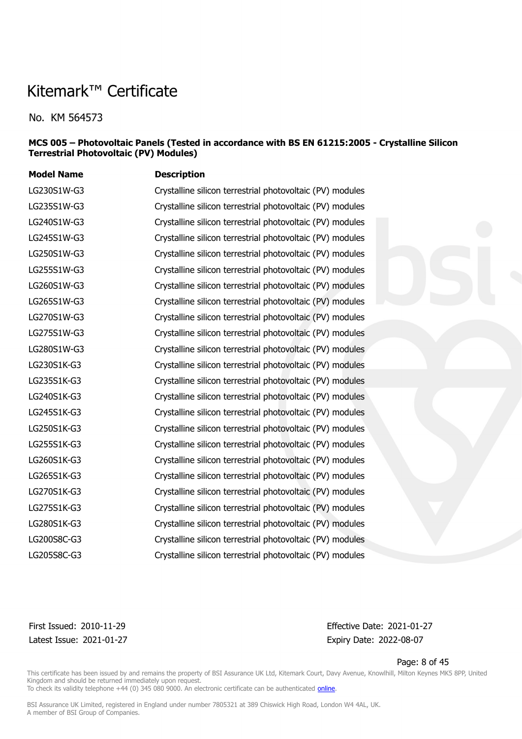No. KM 564573

#### **MCS 005 – Photovoltaic Panels (Tested in accordance with BS EN 61215:2005 - Crystalline Silicon Terrestrial Photovoltaic (PV) Modules)**

| <b>Model Name</b> | <b>Description</b>                                        |
|-------------------|-----------------------------------------------------------|
| LG230S1W-G3       | Crystalline silicon terrestrial photovoltaic (PV) modules |
| LG235S1W-G3       | Crystalline silicon terrestrial photovoltaic (PV) modules |
| LG240S1W-G3       | Crystalline silicon terrestrial photovoltaic (PV) modules |
| LG245S1W-G3       | Crystalline silicon terrestrial photovoltaic (PV) modules |
| LG250S1W-G3       | Crystalline silicon terrestrial photovoltaic (PV) modules |
| LG255S1W-G3       | Crystalline silicon terrestrial photovoltaic (PV) modules |
| LG260S1W-G3       | Crystalline silicon terrestrial photovoltaic (PV) modules |
| LG265S1W-G3       | Crystalline silicon terrestrial photovoltaic (PV) modules |
| LG270S1W-G3       | Crystalline silicon terrestrial photovoltaic (PV) modules |
| LG275S1W-G3       | Crystalline silicon terrestrial photovoltaic (PV) modules |
| LG280S1W-G3       | Crystalline silicon terrestrial photovoltaic (PV) modules |
| LG230S1K-G3       | Crystalline silicon terrestrial photovoltaic (PV) modules |
| LG235S1K-G3       | Crystalline silicon terrestrial photovoltaic (PV) modules |
| LG240S1K-G3       | Crystalline silicon terrestrial photovoltaic (PV) modules |
| LG245S1K-G3       | Crystalline silicon terrestrial photovoltaic (PV) modules |
| LG250S1K-G3       | Crystalline silicon terrestrial photovoltaic (PV) modules |
| LG255S1K-G3       | Crystalline silicon terrestrial photovoltaic (PV) modules |
| LG260S1K-G3       | Crystalline silicon terrestrial photovoltaic (PV) modules |
| LG265S1K-G3       | Crystalline silicon terrestrial photovoltaic (PV) modules |
| LG270S1K-G3       | Crystalline silicon terrestrial photovoltaic (PV) modules |
| LG275S1K-G3       | Crystalline silicon terrestrial photovoltaic (PV) modules |
| LG280S1K-G3       | Crystalline silicon terrestrial photovoltaic (PV) modules |
| LG200S8C-G3       | Crystalline silicon terrestrial photovoltaic (PV) modules |
| LG205S8C-G3       | Crystalline silicon terrestrial photovoltaic (PV) modules |

Latest Issue: 2021-01-27 Expiry Date: 2022-08-07

First Issued: 2010-11-29 Effective Date: 2021-01-27

Page: 8 of 45

This certificate has been issued by and remains the property of BSI Assurance UK Ltd, Kitemark Court, Davy Avenue, Knowlhill, Milton Keynes MK5 8PP, United Kingdom and should be returned immediately upon request. To check its validity telephone +44 (0) 345 080 9000. An electronic certificate can be authenticated *[online](https://pgplus.bsigroup.com/CertificateValidation/CertificateValidator.aspx?CertificateNumber=KM+564573&ReIssueDate=27%2f01%2f2021&Template=uk)*.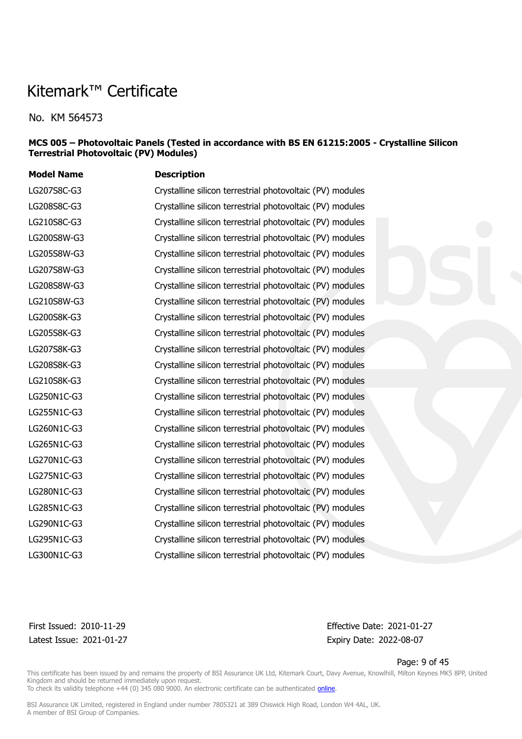No. KM 564573

#### **MCS 005 – Photovoltaic Panels (Tested in accordance with BS EN 61215:2005 - Crystalline Silicon Terrestrial Photovoltaic (PV) Modules)**

**Model Name Description** LG207S8C-G3 Crystalline silicon terrestrial photovoltaic (PV) modules LG208S8C-G3 Crystalline silicon terrestrial photovoltaic (PV) modules LG210S8C-G3 Crystalline silicon terrestrial photovoltaic (PV) modules LG200S8W-G3 Crystalline silicon terrestrial photovoltaic (PV) modules LG205S8W-G3 Crystalline silicon terrestrial photovoltaic (PV) modules LG207S8W-G3 Crystalline silicon terrestrial photovoltaic (PV) modules LG208S8W-G3 Crystalline silicon terrestrial photovoltaic (PV) modules LG210S8W-G3 Crystalline silicon terrestrial photovoltaic (PV) modules LG200S8K-G3 Crystalline silicon terrestrial photovoltaic (PV) modules LG205S8K-G3 Crystalline silicon terrestrial photovoltaic (PV) modules LG207S8K-G3 Crystalline silicon terrestrial photovoltaic (PV) modules LG208S8K-G3 Crystalline silicon terrestrial photovoltaic (PV) modules LG210S8K-G3 Crystalline silicon terrestrial photovoltaic (PV) modules LG250N1C-G3 Crystalline silicon terrestrial photovoltaic (PV) modules LG255N1C-G3 Crystalline silicon terrestrial photovoltaic (PV) modules LG260N1C-G3 Crystalline silicon terrestrial photovoltaic (PV) modules LG265N1C-G3 Crystalline silicon terrestrial photovoltaic (PV) modules LG270N1C-G3 Crystalline silicon terrestrial photovoltaic (PV) modules LG275N1C-G3 Crystalline silicon terrestrial photovoltaic (PV) modules LG280N1C-G3 Crystalline silicon terrestrial photovoltaic (PV) modules LG285N1C-G3 Crystalline silicon terrestrial photovoltaic (PV) modules LG290N1C-G3 Crystalline silicon terrestrial photovoltaic (PV) modules LG295N1C-G3 Crystalline silicon terrestrial photovoltaic (PV) modules LG300N1C-G3 Crystalline silicon terrestrial photovoltaic (PV) modules

Latest Issue: 2021-01-27 Expiry Date: 2022-08-07

First Issued: 2010-11-29 Effective Date: 2021-01-27

Page: 9 of 45

This certificate has been issued by and remains the property of BSI Assurance UK Ltd, Kitemark Court, Davy Avenue, Knowlhill, Milton Keynes MK5 8PP, United Kingdom and should be returned immediately upon request.

To check its validity telephone +44 (0) 345 080 9000. An electronic certificate can be authenticated [online](https://pgplus.bsigroup.com/CertificateValidation/CertificateValidator.aspx?CertificateNumber=KM+564573&ReIssueDate=27%2f01%2f2021&Template=uk).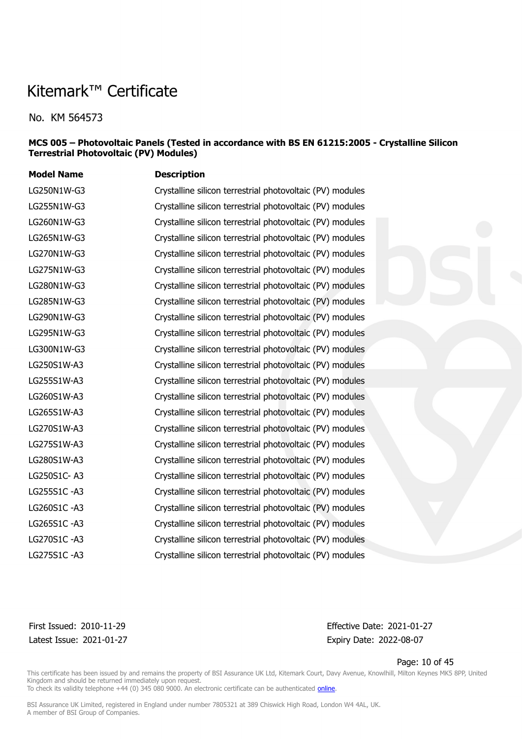No. KM 564573

#### **MCS 005 – Photovoltaic Panels (Tested in accordance with BS EN 61215:2005 - Crystalline Silicon Terrestrial Photovoltaic (PV) Modules)**

| <b>Model Name</b> | <b>Description</b>                                        |
|-------------------|-----------------------------------------------------------|
| LG250N1W-G3       | Crystalline silicon terrestrial photovoltaic (PV) modules |
| LG255N1W-G3       | Crystalline silicon terrestrial photovoltaic (PV) modules |
| LG260N1W-G3       | Crystalline silicon terrestrial photovoltaic (PV) modules |
| LG265N1W-G3       | Crystalline silicon terrestrial photovoltaic (PV) modules |
| LG270N1W-G3       | Crystalline silicon terrestrial photovoltaic (PV) modules |
| LG275N1W-G3       | Crystalline silicon terrestrial photovoltaic (PV) modules |
| LG280N1W-G3       | Crystalline silicon terrestrial photovoltaic (PV) modules |
| LG285N1W-G3       | Crystalline silicon terrestrial photovoltaic (PV) modules |
| LG290N1W-G3       | Crystalline silicon terrestrial photovoltaic (PV) modules |
| LG295N1W-G3       | Crystalline silicon terrestrial photovoltaic (PV) modules |
| LG300N1W-G3       | Crystalline silicon terrestrial photovoltaic (PV) modules |
| LG250S1W-A3       | Crystalline silicon terrestrial photovoltaic (PV) modules |
| LG255S1W-A3       | Crystalline silicon terrestrial photovoltaic (PV) modules |
| LG260S1W-A3       | Crystalline silicon terrestrial photovoltaic (PV) modules |
| LG265S1W-A3       | Crystalline silicon terrestrial photovoltaic (PV) modules |
| LG270S1W-A3       | Crystalline silicon terrestrial photovoltaic (PV) modules |
| LG275S1W-A3       | Crystalline silicon terrestrial photovoltaic (PV) modules |
| LG280S1W-A3       | Crystalline silicon terrestrial photovoltaic (PV) modules |
| LG250S1C-A3       | Crystalline silicon terrestrial photovoltaic (PV) modules |
| LG255S1C-A3       | Crystalline silicon terrestrial photovoltaic (PV) modules |
| LG260S1C-A3       | Crystalline silicon terrestrial photovoltaic (PV) modules |
| LG265S1C-A3       | Crystalline silicon terrestrial photovoltaic (PV) modules |
| LG270S1C-A3       | Crystalline silicon terrestrial photovoltaic (PV) modules |
| LG275S1C-A3       | Crystalline silicon terrestrial photovoltaic (PV) modules |

Latest Issue: 2021-01-27 Expiry Date: 2022-08-07

First Issued: 2010-11-29 Effective Date: 2021-01-27

Page: 10 of 45

This certificate has been issued by and remains the property of BSI Assurance UK Ltd, Kitemark Court, Davy Avenue, Knowlhill, Milton Keynes MK5 8PP, United Kingdom and should be returned immediately upon request.

To check its validity telephone +44 (0) 345 080 9000. An electronic certificate can be authenticated *[online](https://pgplus.bsigroup.com/CertificateValidation/CertificateValidator.aspx?CertificateNumber=KM+564573&ReIssueDate=27%2f01%2f2021&Template=uk)*.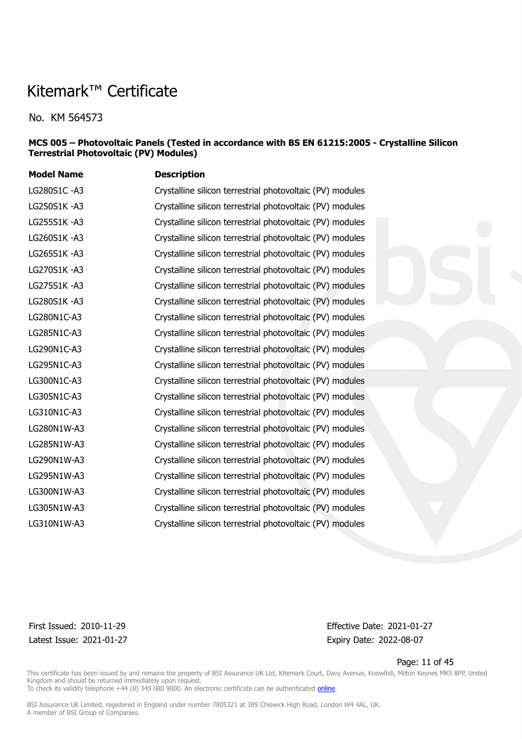No. KM 564573

#### **MCS 005 – Photovoltaic Panels (Tested in accordance with BS EN 61215:2005 - Crystalline Silicon Terrestrial Photovoltaic (PV) Modules)**

| <b>Model Name</b> | <b>Description</b>                                        |
|-------------------|-----------------------------------------------------------|
| LG280S1C-A3       | Crystalline silicon terrestrial photovoltaic (PV) modules |
| LG250S1K-A3       | Crystalline silicon terrestrial photovoltaic (PV) modules |
| LG255S1K-A3       | Crystalline silicon terrestrial photovoltaic (PV) modules |
| LG260S1K-A3       | Crystalline silicon terrestrial photovoltaic (PV) modules |
| LG265S1K-A3       | Crystalline silicon terrestrial photovoltaic (PV) modules |
| LG270S1K-A3       | Crystalline silicon terrestrial photovoltaic (PV) modules |
| LG275S1K-A3       | Crystalline silicon terrestrial photovoltaic (PV) modules |
| LG280S1K-A3       | Crystalline silicon terrestrial photovoltaic (PV) modules |
| LG280N1C-A3       | Crystalline silicon terrestrial photovoltaic (PV) modules |
| LG285N1C-A3       | Crystalline silicon terrestrial photovoltaic (PV) modules |
| LG290N1C-A3       | Crystalline silicon terrestrial photovoltaic (PV) modules |
| LG295N1C-A3       | Crystalline silicon terrestrial photovoltaic (PV) modules |
| LG300N1C-A3       | Crystalline silicon terrestrial photovoltaic (PV) modules |
| LG305N1C-A3       | Crystalline silicon terrestrial photovoltaic (PV) modules |
| LG310N1C-A3       | Crystalline silicon terrestrial photovoltaic (PV) modules |
| LG280N1W-A3       | Crystalline silicon terrestrial photovoltaic (PV) modules |
| LG285N1W-A3       | Crystalline silicon terrestrial photovoltaic (PV) modules |
| LG290N1W-A3       | Crystalline silicon terrestrial photovoltaic (PV) modules |
| LG295N1W-A3       | Crystalline silicon terrestrial photovoltaic (PV) modules |
| LG300N1W-A3       | Crystalline silicon terrestrial photovoltaic (PV) modules |
| LG305N1W-A3       | Crystalline silicon terrestrial photovoltaic (PV) modules |
| LG310N1W-A3       | Crystalline silicon terrestrial photovoltaic (PV) modules |
|                   |                                                           |

Latest Issue: 2021-01-27 Expiry Date: 2022-08-07

First Issued: 2010-11-29 Effective Date: 2021-01-27

Page: 11 of 45

This certificate has been issued by and remains the property of BSI Assurance UK Ltd, Kitemark Court, Davy Avenue, Knowlhill, Milton Keynes MK5 8PP, United Kingdom and should be returned immediately upon request. To check its validity telephone +44 (0) 345 080 9000. An electronic certificate can be authenticated *[online](https://pgplus.bsigroup.com/CertificateValidation/CertificateValidator.aspx?CertificateNumber=KM+564573&ReIssueDate=27%2f01%2f2021&Template=uk)*.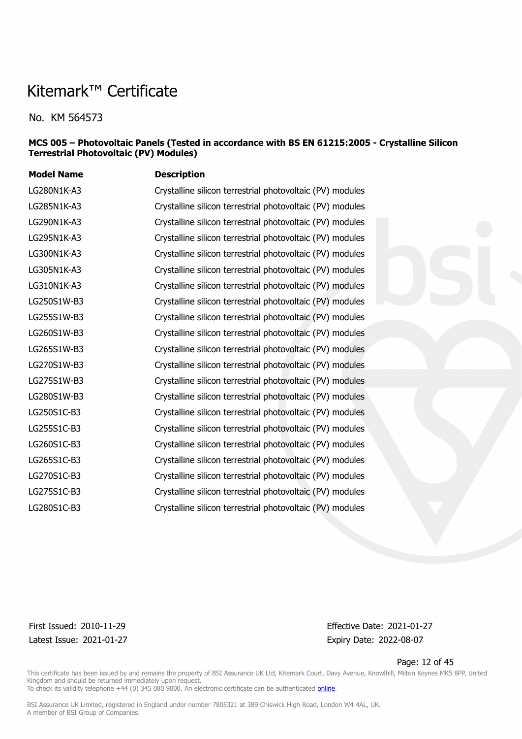No. KM 564573

#### **MCS 005 – Photovoltaic Panels (Tested in accordance with BS EN 61215:2005 - Crystalline Silicon Terrestrial Photovoltaic (PV) Modules)**

| <b>Model Name</b> | <b>Description</b>                                        |
|-------------------|-----------------------------------------------------------|
| LG280N1K-A3       | Crystalline silicon terrestrial photovoltaic (PV) modules |
| LG285N1K-A3       | Crystalline silicon terrestrial photovoltaic (PV) modules |
| LG290N1K-A3       | Crystalline silicon terrestrial photovoltaic (PV) modules |
| LG295N1K-A3       | Crystalline silicon terrestrial photovoltaic (PV) modules |
| LG300N1K-A3       | Crystalline silicon terrestrial photovoltaic (PV) modules |
| LG305N1K-A3       | Crystalline silicon terrestrial photovoltaic (PV) modules |
| LG310N1K-A3       | Crystalline silicon terrestrial photovoltaic (PV) modules |
| LG250S1W-B3       | Crystalline silicon terrestrial photovoltaic (PV) modules |
| LG255S1W-B3       | Crystalline silicon terrestrial photovoltaic (PV) modules |
| LG260S1W-B3       | Crystalline silicon terrestrial photovoltaic (PV) modules |
| LG265S1W-B3       | Crystalline silicon terrestrial photovoltaic (PV) modules |
| LG270S1W-B3       | Crystalline silicon terrestrial photovoltaic (PV) modules |
| LG275S1W-B3       | Crystalline silicon terrestrial photovoltaic (PV) modules |
| LG280S1W-B3       | Crystalline silicon terrestrial photovoltaic (PV) modules |
| LG250S1C-B3       | Crystalline silicon terrestrial photovoltaic (PV) modules |
| LG255S1C-B3       | Crystalline silicon terrestrial photovoltaic (PV) modules |
| LG260S1C-B3       | Crystalline silicon terrestrial photovoltaic (PV) modules |
| LG265S1C-B3       | Crystalline silicon terrestrial photovoltaic (PV) modules |
| LG270S1C-B3       | Crystalline silicon terrestrial photovoltaic (PV) modules |
| LG275S1C-B3       | Crystalline silicon terrestrial photovoltaic (PV) modules |
| LG280S1C-B3       | Crystalline silicon terrestrial photovoltaic (PV) modules |
|                   |                                                           |

Latest Issue: 2021-01-27 Expiry Date: 2022-08-07

First Issued: 2010-11-29 Effective Date: 2021-01-27

Page: 12 of 45

This certificate has been issued by and remains the property of BSI Assurance UK Ltd, Kitemark Court, Davy Avenue, Knowlhill, Milton Keynes MK5 8PP, United Kingdom and should be returned immediately upon request. To check its validity telephone +44 (0) 345 080 9000. An electronic certificate can be authenticated *[online](https://pgplus.bsigroup.com/CertificateValidation/CertificateValidator.aspx?CertificateNumber=KM+564573&ReIssueDate=27%2f01%2f2021&Template=uk)*.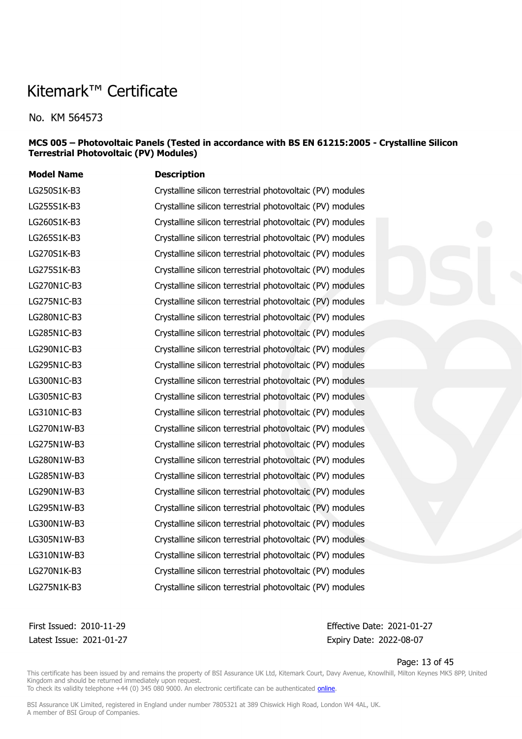No. KM 564573

#### **MCS 005 – Photovoltaic Panels (Tested in accordance with BS EN 61215:2005 - Crystalline Silicon Terrestrial Photovoltaic (PV) Modules)**

| <b>Model Name</b> | <b>Description</b>                                        |
|-------------------|-----------------------------------------------------------|
| LG250S1K-B3       | Crystalline silicon terrestrial photovoltaic (PV) modules |
| LG255S1K-B3       | Crystalline silicon terrestrial photovoltaic (PV) modules |
| LG260S1K-B3       | Crystalline silicon terrestrial photovoltaic (PV) modules |
| LG265S1K-B3       | Crystalline silicon terrestrial photovoltaic (PV) modules |
| LG270S1K-B3       | Crystalline silicon terrestrial photovoltaic (PV) modules |
| LG275S1K-B3       | Crystalline silicon terrestrial photovoltaic (PV) modules |
| LG270N1C-B3       | Crystalline silicon terrestrial photovoltaic (PV) modules |
| LG275N1C-B3       | Crystalline silicon terrestrial photovoltaic (PV) modules |
| LG280N1C-B3       | Crystalline silicon terrestrial photovoltaic (PV) modules |
| LG285N1C-B3       | Crystalline silicon terrestrial photovoltaic (PV) modules |
| LG290N1C-B3       | Crystalline silicon terrestrial photovoltaic (PV) modules |
| LG295N1C-B3       | Crystalline silicon terrestrial photovoltaic (PV) modules |
| LG300N1C-B3       | Crystalline silicon terrestrial photovoltaic (PV) modules |
| LG305N1C-B3       | Crystalline silicon terrestrial photovoltaic (PV) modules |
| LG310N1C-B3       | Crystalline silicon terrestrial photovoltaic (PV) modules |
| LG270N1W-B3       | Crystalline silicon terrestrial photovoltaic (PV) modules |
| LG275N1W-B3       | Crystalline silicon terrestrial photovoltaic (PV) modules |
| LG280N1W-B3       | Crystalline silicon terrestrial photovoltaic (PV) modules |
| LG285N1W-B3       | Crystalline silicon terrestrial photovoltaic (PV) modules |
| LG290N1W-B3       | Crystalline silicon terrestrial photovoltaic (PV) modules |
| LG295N1W-B3       | Crystalline silicon terrestrial photovoltaic (PV) modules |
| LG300N1W-B3       | Crystalline silicon terrestrial photovoltaic (PV) modules |
| LG305N1W-B3       | Crystalline silicon terrestrial photovoltaic (PV) modules |
| LG310N1W-B3       | Crystalline silicon terrestrial photovoltaic (PV) modules |
| LG270N1K-B3       | Crystalline silicon terrestrial photovoltaic (PV) modules |
| LG275N1K-B3       | Crystalline silicon terrestrial photovoltaic (PV) modules |

Latest Issue: 2021-01-27 Expiry Date: 2022-08-07

First Issued: 2010-11-29 Effective Date: 2021-01-27

Page: 13 of 45

This certificate has been issued by and remains the property of BSI Assurance UK Ltd, Kitemark Court, Davy Avenue, Knowlhill, Milton Keynes MK5 8PP, United Kingdom and should be returned immediately upon request.

To check its validity telephone +44 (0) 345 080 9000. An electronic certificate can be authenticated *[online](https://pgplus.bsigroup.com/CertificateValidation/CertificateValidator.aspx?CertificateNumber=KM+564573&ReIssueDate=27%2f01%2f2021&Template=uk)*.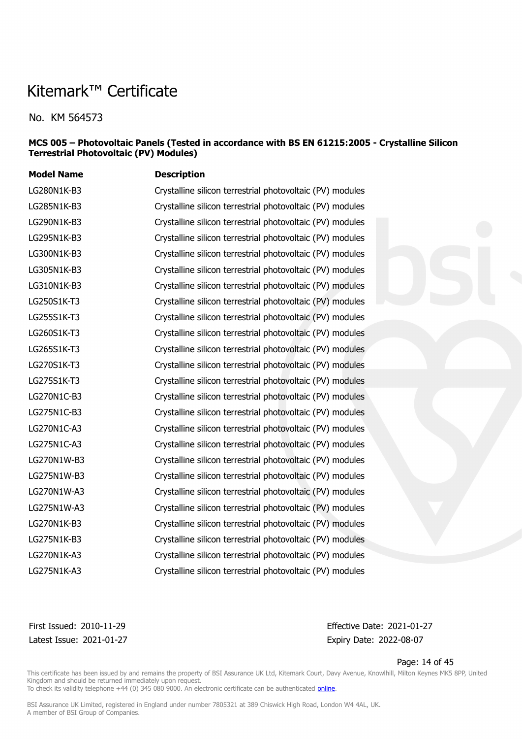No. KM 564573

#### **MCS 005 – Photovoltaic Panels (Tested in accordance with BS EN 61215:2005 - Crystalline Silicon Terrestrial Photovoltaic (PV) Modules)**

| <b>Model Name</b> | <b>Description</b>                                        |
|-------------------|-----------------------------------------------------------|
| LG280N1K-B3       | Crystalline silicon terrestrial photovoltaic (PV) modules |
| LG285N1K-B3       | Crystalline silicon terrestrial photovoltaic (PV) modules |
| LG290N1K-B3       | Crystalline silicon terrestrial photovoltaic (PV) modules |
| LG295N1K-B3       | Crystalline silicon terrestrial photovoltaic (PV) modules |
| LG300N1K-B3       | Crystalline silicon terrestrial photovoltaic (PV) modules |
| LG305N1K-B3       | Crystalline silicon terrestrial photovoltaic (PV) modules |
| LG310N1K-B3       | Crystalline silicon terrestrial photovoltaic (PV) modules |
| LG250S1K-T3       | Crystalline silicon terrestrial photovoltaic (PV) modules |
| LG255S1K-T3       | Crystalline silicon terrestrial photovoltaic (PV) modules |
| LG260S1K-T3       | Crystalline silicon terrestrial photovoltaic (PV) modules |
| LG265S1K-T3       | Crystalline silicon terrestrial photovoltaic (PV) modules |
| LG270S1K-T3       | Crystalline silicon terrestrial photovoltaic (PV) modules |
| LG275S1K-T3       | Crystalline silicon terrestrial photovoltaic (PV) modules |
| LG270N1C-B3       | Crystalline silicon terrestrial photovoltaic (PV) modules |
| LG275N1C-B3       | Crystalline silicon terrestrial photovoltaic (PV) modules |
| LG270N1C-A3       | Crystalline silicon terrestrial photovoltaic (PV) modules |
| LG275N1C-A3       | Crystalline silicon terrestrial photovoltaic (PV) modules |
| LG270N1W-B3       | Crystalline silicon terrestrial photovoltaic (PV) modules |
| LG275N1W-B3       | Crystalline silicon terrestrial photovoltaic (PV) modules |
| LG270N1W-A3       | Crystalline silicon terrestrial photovoltaic (PV) modules |
| LG275N1W-A3       | Crystalline silicon terrestrial photovoltaic (PV) modules |
| LG270N1K-B3       | Crystalline silicon terrestrial photovoltaic (PV) modules |
| LG275N1K-B3       | Crystalline silicon terrestrial photovoltaic (PV) modules |
| LG270N1K-A3       | Crystalline silicon terrestrial photovoltaic (PV) modules |
| LG275N1K-A3       | Crystalline silicon terrestrial photovoltaic (PV) modules |

Latest Issue: 2021-01-27 Expiry Date: 2022-08-07

First Issued: 2010-11-29 Effective Date: 2021-01-27

Page: 14 of 45

This certificate has been issued by and remains the property of BSI Assurance UK Ltd, Kitemark Court, Davy Avenue, Knowlhill, Milton Keynes MK5 8PP, United Kingdom and should be returned immediately upon request.

To check its validity telephone +44 (0) 345 080 9000. An electronic certificate can be authenticated *[online](https://pgplus.bsigroup.com/CertificateValidation/CertificateValidator.aspx?CertificateNumber=KM+564573&ReIssueDate=27%2f01%2f2021&Template=uk)*.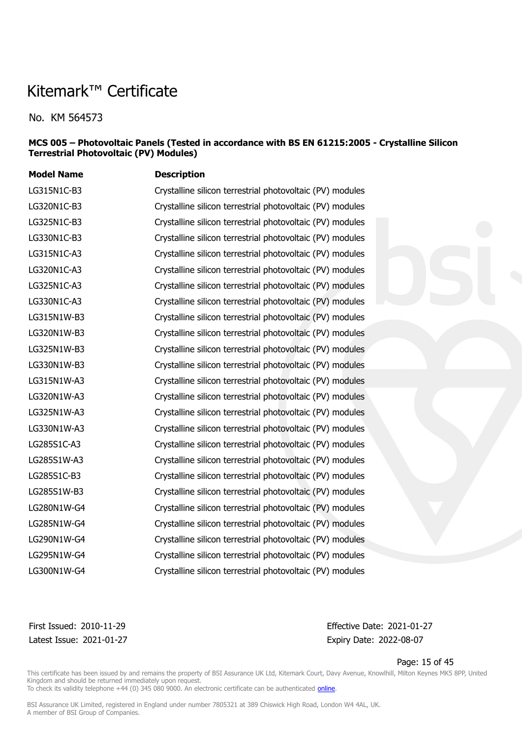No. KM 564573

#### **MCS 005 – Photovoltaic Panels (Tested in accordance with BS EN 61215:2005 - Crystalline Silicon Terrestrial Photovoltaic (PV) Modules)**

| <b>Model Name</b> | <b>Description</b>                                        |
|-------------------|-----------------------------------------------------------|
| LG315N1C-B3       | Crystalline silicon terrestrial photovoltaic (PV) modules |
| LG320N1C-B3       | Crystalline silicon terrestrial photovoltaic (PV) modules |
| LG325N1C-B3       | Crystalline silicon terrestrial photovoltaic (PV) modules |
| LG330N1C-B3       | Crystalline silicon terrestrial photovoltaic (PV) modules |
| LG315N1C-A3       | Crystalline silicon terrestrial photovoltaic (PV) modules |
| LG320N1C-A3       | Crystalline silicon terrestrial photovoltaic (PV) modules |
| LG325N1C-A3       | Crystalline silicon terrestrial photovoltaic (PV) modules |
| LG330N1C-A3       | Crystalline silicon terrestrial photovoltaic (PV) modules |
| LG315N1W-B3       | Crystalline silicon terrestrial photovoltaic (PV) modules |
| LG320N1W-B3       | Crystalline silicon terrestrial photovoltaic (PV) modules |
| LG325N1W-B3       | Crystalline silicon terrestrial photovoltaic (PV) modules |
| LG330N1W-B3       | Crystalline silicon terrestrial photovoltaic (PV) modules |
| LG315N1W-A3       | Crystalline silicon terrestrial photovoltaic (PV) modules |
| LG320N1W-A3       | Crystalline silicon terrestrial photovoltaic (PV) modules |
| LG325N1W-A3       | Crystalline silicon terrestrial photovoltaic (PV) modules |
| LG330N1W-A3       | Crystalline silicon terrestrial photovoltaic (PV) modules |
| LG285S1C-A3       | Crystalline silicon terrestrial photovoltaic (PV) modules |
| LG285S1W-A3       | Crystalline silicon terrestrial photovoltaic (PV) modules |
| LG285S1C-B3       | Crystalline silicon terrestrial photovoltaic (PV) modules |
| LG285S1W-B3       | Crystalline silicon terrestrial photovoltaic (PV) modules |
| LG280N1W-G4       | Crystalline silicon terrestrial photovoltaic (PV) modules |
| LG285N1W-G4       | Crystalline silicon terrestrial photovoltaic (PV) modules |
| LG290N1W-G4       | Crystalline silicon terrestrial photovoltaic (PV) modules |
| LG295N1W-G4       | Crystalline silicon terrestrial photovoltaic (PV) modules |
| LG300N1W-G4       | Crystalline silicon terrestrial photovoltaic (PV) modules |

Latest Issue: 2021-01-27 Expiry Date: 2022-08-07

First Issued: 2010-11-29 Effective Date: 2021-01-27

Page: 15 of 45

This certificate has been issued by and remains the property of BSI Assurance UK Ltd, Kitemark Court, Davy Avenue, Knowlhill, Milton Keynes MK5 8PP, United Kingdom and should be returned immediately upon request.

To check its validity telephone +44 (0) 345 080 9000. An electronic certificate can be authenticated *[online](https://pgplus.bsigroup.com/CertificateValidation/CertificateValidator.aspx?CertificateNumber=KM+564573&ReIssueDate=27%2f01%2f2021&Template=uk)*.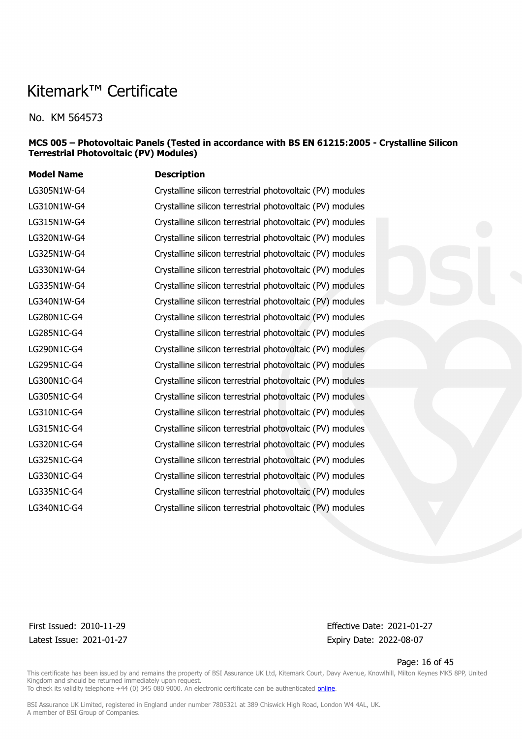No. KM 564573

#### **MCS 005 – Photovoltaic Panels (Tested in accordance with BS EN 61215:2005 - Crystalline Silicon Terrestrial Photovoltaic (PV) Modules)**

| <b>Model Name</b> | <b>Description</b>                                        |
|-------------------|-----------------------------------------------------------|
| LG305N1W-G4       | Crystalline silicon terrestrial photovoltaic (PV) modules |
| LG310N1W-G4       | Crystalline silicon terrestrial photovoltaic (PV) modules |
| LG315N1W-G4       | Crystalline silicon terrestrial photovoltaic (PV) modules |
| LG320N1W-G4       | Crystalline silicon terrestrial photovoltaic (PV) modules |
| LG325N1W-G4       | Crystalline silicon terrestrial photovoltaic (PV) modules |
| LG330N1W-G4       | Crystalline silicon terrestrial photovoltaic (PV) modules |
| LG335N1W-G4       | Crystalline silicon terrestrial photovoltaic (PV) modules |
| LG340N1W-G4       | Crystalline silicon terrestrial photovoltaic (PV) modules |
| LG280N1C-G4       | Crystalline silicon terrestrial photovoltaic (PV) modules |
| LG285N1C-G4       | Crystalline silicon terrestrial photovoltaic (PV) modules |
| LG290N1C-G4       | Crystalline silicon terrestrial photovoltaic (PV) modules |
| LG295N1C-G4       | Crystalline silicon terrestrial photovoltaic (PV) modules |
| LG300N1C-G4       | Crystalline silicon terrestrial photovoltaic (PV) modules |
| LG305N1C-G4       | Crystalline silicon terrestrial photovoltaic (PV) modules |
| LG310N1C-G4       | Crystalline silicon terrestrial photovoltaic (PV) modules |
| LG315N1C-G4       | Crystalline silicon terrestrial photovoltaic (PV) modules |
| LG320N1C-G4       | Crystalline silicon terrestrial photovoltaic (PV) modules |
| LG325N1C-G4       | Crystalline silicon terrestrial photovoltaic (PV) modules |
| LG330N1C-G4       | Crystalline silicon terrestrial photovoltaic (PV) modules |
| LG335N1C-G4       | Crystalline silicon terrestrial photovoltaic (PV) modules |
| LG340N1C-G4       | Crystalline silicon terrestrial photovoltaic (PV) modules |
|                   |                                                           |

Latest Issue: 2021-01-27 Expiry Date: 2022-08-07

First Issued: 2010-11-29 Effective Date: 2021-01-27

Page: 16 of 45

This certificate has been issued by and remains the property of BSI Assurance UK Ltd, Kitemark Court, Davy Avenue, Knowlhill, Milton Keynes MK5 8PP, United Kingdom and should be returned immediately upon request. To check its validity telephone +44 (0) 345 080 9000. An electronic certificate can be authenticated *[online](https://pgplus.bsigroup.com/CertificateValidation/CertificateValidator.aspx?CertificateNumber=KM+564573&ReIssueDate=27%2f01%2f2021&Template=uk)*.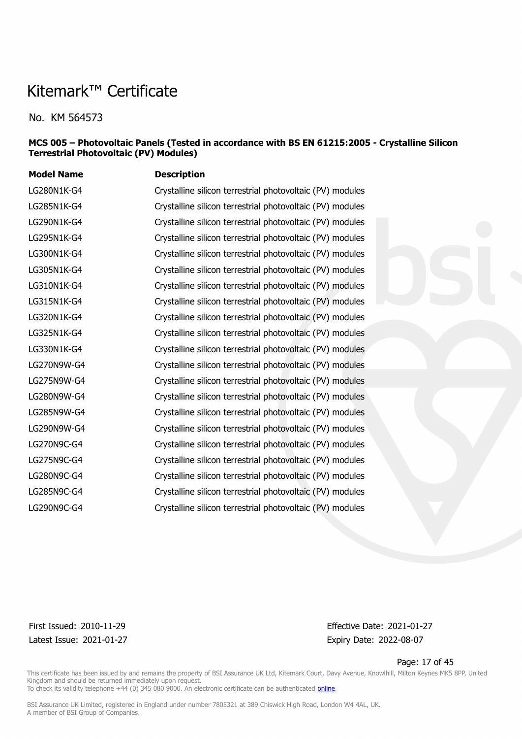No. KM 564573

#### **MCS 005 – Photovoltaic Panels (Tested in accordance with BS EN 61215:2005 - Crystalline Silicon Terrestrial Photovoltaic (PV) Modules)**

| <b>Model Name</b> | <b>Description</b>                                        |
|-------------------|-----------------------------------------------------------|
| LG280N1K-G4       | Crystalline silicon terrestrial photovoltaic (PV) modules |
| LG285N1K-G4       | Crystalline silicon terrestrial photovoltaic (PV) modules |
| LG290N1K-G4       | Crystalline silicon terrestrial photovoltaic (PV) modules |
| LG295N1K-G4       | Crystalline silicon terrestrial photovoltaic (PV) modules |
| LG300N1K-G4       | Crystalline silicon terrestrial photovoltaic (PV) modules |
| LG305N1K-G4       | Crystalline silicon terrestrial photovoltaic (PV) modules |
| LG310N1K-G4       | Crystalline silicon terrestrial photovoltaic (PV) modules |
| LG315N1K-G4       | Crystalline silicon terrestrial photovoltaic (PV) modules |
| LG320N1K-G4       | Crystalline silicon terrestrial photovoltaic (PV) modules |
| LG325N1K-G4       | Crystalline silicon terrestrial photovoltaic (PV) modules |
| LG330N1K-G4       | Crystalline silicon terrestrial photovoltaic (PV) modules |
| LG270N9W-G4       | Crystalline silicon terrestrial photovoltaic (PV) modules |
| LG275N9W-G4       | Crystalline silicon terrestrial photovoltaic (PV) modules |
| LG280N9W-G4       | Crystalline silicon terrestrial photovoltaic (PV) modules |
| LG285N9W-G4       | Crystalline silicon terrestrial photovoltaic (PV) modules |
| LG290N9W-G4       | Crystalline silicon terrestrial photovoltaic (PV) modules |
| LG270N9C-G4       | Crystalline silicon terrestrial photovoltaic (PV) modules |
| LG275N9C-G4       | Crystalline silicon terrestrial photovoltaic (PV) modules |
| LG280N9C-G4       | Crystalline silicon terrestrial photovoltaic (PV) modules |
| LG285N9C-G4       | Crystalline silicon terrestrial photovoltaic (PV) modules |
| LG290N9C-G4       | Crystalline silicon terrestrial photovoltaic (PV) modules |
|                   |                                                           |

Latest Issue: 2021-01-27 Expiry Date: 2022-08-07

First Issued: 2010-11-29 Effective Date: 2021-01-27

Page: 17 of 45

This certificate has been issued by and remains the property of BSI Assurance UK Ltd, Kitemark Court, Davy Avenue, Knowlhill, Milton Keynes MK5 8PP, United Kingdom and should be returned immediately upon request. To check its validity telephone +44 (0) 345 080 9000. An electronic certificate can be authenticated *[online](https://pgplus.bsigroup.com/CertificateValidation/CertificateValidator.aspx?CertificateNumber=KM+564573&ReIssueDate=27%2f01%2f2021&Template=uk)*.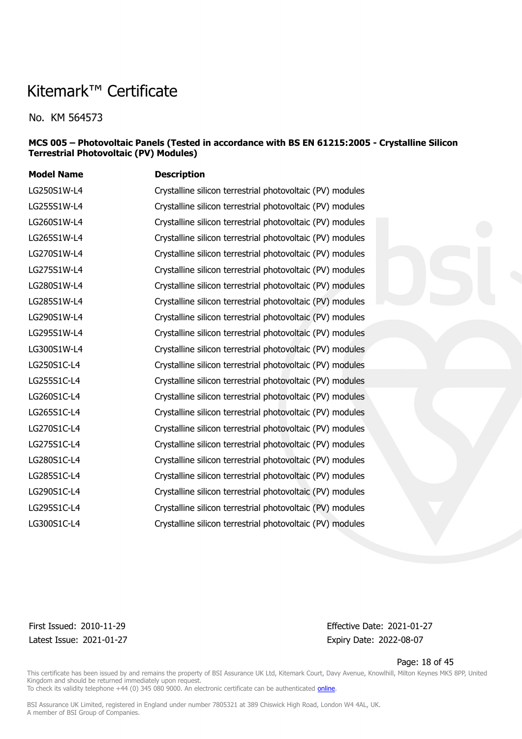No. KM 564573

#### **MCS 005 – Photovoltaic Panels (Tested in accordance with BS EN 61215:2005 - Crystalline Silicon Terrestrial Photovoltaic (PV) Modules)**

| <b>Model Name</b> | <b>Description</b>                                        |
|-------------------|-----------------------------------------------------------|
| LG250S1W-L4       | Crystalline silicon terrestrial photovoltaic (PV) modules |
| LG255S1W-L4       | Crystalline silicon terrestrial photovoltaic (PV) modules |
| LG260S1W-L4       | Crystalline silicon terrestrial photovoltaic (PV) modules |
| LG265S1W-L4       | Crystalline silicon terrestrial photovoltaic (PV) modules |
| LG270S1W-L4       | Crystalline silicon terrestrial photovoltaic (PV) modules |
| LG275S1W-L4       | Crystalline silicon terrestrial photovoltaic (PV) modules |
| LG280S1W-L4       | Crystalline silicon terrestrial photovoltaic (PV) modules |
| LG285S1W-L4       | Crystalline silicon terrestrial photovoltaic (PV) modules |
| LG290S1W-L4       | Crystalline silicon terrestrial photovoltaic (PV) modules |
| LG295S1W-L4       | Crystalline silicon terrestrial photovoltaic (PV) modules |
| LG300S1W-L4       | Crystalline silicon terrestrial photovoltaic (PV) modules |
| LG250S1C-L4       | Crystalline silicon terrestrial photovoltaic (PV) modules |
| LG255S1C-L4       | Crystalline silicon terrestrial photovoltaic (PV) modules |
| LG260S1C-L4       | Crystalline silicon terrestrial photovoltaic (PV) modules |
| LG265S1C-L4       | Crystalline silicon terrestrial photovoltaic (PV) modules |
| LG270S1C-L4       | Crystalline silicon terrestrial photovoltaic (PV) modules |
| LG275S1C-L4       | Crystalline silicon terrestrial photovoltaic (PV) modules |
| LG280S1C-L4       | Crystalline silicon terrestrial photovoltaic (PV) modules |
| LG285S1C-L4       | Crystalline silicon terrestrial photovoltaic (PV) modules |
| LG290S1C-L4       | Crystalline silicon terrestrial photovoltaic (PV) modules |
| LG295S1C-L4       | Crystalline silicon terrestrial photovoltaic (PV) modules |
| LG300S1C-L4       | Crystalline silicon terrestrial photovoltaic (PV) modules |
|                   |                                                           |

Latest Issue: 2021-01-27 Expiry Date: 2022-08-07

First Issued: 2010-11-29 Effective Date: 2021-01-27

Page: 18 of 45

This certificate has been issued by and remains the property of BSI Assurance UK Ltd, Kitemark Court, Davy Avenue, Knowlhill, Milton Keynes MK5 8PP, United Kingdom and should be returned immediately upon request. To check its validity telephone +44 (0) 345 080 9000. An electronic certificate can be authenticated *[online](https://pgplus.bsigroup.com/CertificateValidation/CertificateValidator.aspx?CertificateNumber=KM+564573&ReIssueDate=27%2f01%2f2021&Template=uk)*.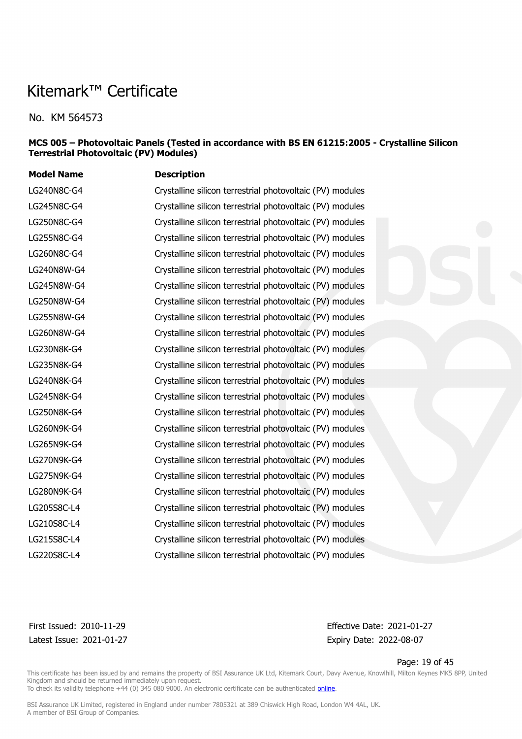No. KM 564573

#### **MCS 005 – Photovoltaic Panels (Tested in accordance with BS EN 61215:2005 - Crystalline Silicon Terrestrial Photovoltaic (PV) Modules)**

| <b>Model Name</b> | <b>Description</b>                                        |
|-------------------|-----------------------------------------------------------|
| LG240N8C-G4       | Crystalline silicon terrestrial photovoltaic (PV) modules |
| LG245N8C-G4       | Crystalline silicon terrestrial photovoltaic (PV) modules |
| LG250N8C-G4       | Crystalline silicon terrestrial photovoltaic (PV) modules |
| LG255N8C-G4       | Crystalline silicon terrestrial photovoltaic (PV) modules |
| LG260N8C-G4       | Crystalline silicon terrestrial photovoltaic (PV) modules |
| LG240N8W-G4       | Crystalline silicon terrestrial photovoltaic (PV) modules |
| LG245N8W-G4       | Crystalline silicon terrestrial photovoltaic (PV) modules |
| LG250N8W-G4       | Crystalline silicon terrestrial photovoltaic (PV) modules |
| LG255N8W-G4       | Crystalline silicon terrestrial photovoltaic (PV) modules |
| LG260N8W-G4       | Crystalline silicon terrestrial photovoltaic (PV) modules |
| LG230N8K-G4       | Crystalline silicon terrestrial photovoltaic (PV) modules |
| LG235N8K-G4       | Crystalline silicon terrestrial photovoltaic (PV) modules |
| LG240N8K-G4       | Crystalline silicon terrestrial photovoltaic (PV) modules |
| LG245N8K-G4       | Crystalline silicon terrestrial photovoltaic (PV) modules |
| LG250N8K-G4       | Crystalline silicon terrestrial photovoltaic (PV) modules |
| LG260N9K-G4       | Crystalline silicon terrestrial photovoltaic (PV) modules |
| LG265N9K-G4       | Crystalline silicon terrestrial photovoltaic (PV) modules |
| LG270N9K-G4       | Crystalline silicon terrestrial photovoltaic (PV) modules |
| LG275N9K-G4       | Crystalline silicon terrestrial photovoltaic (PV) modules |
| LG280N9K-G4       | Crystalline silicon terrestrial photovoltaic (PV) modules |
| LG205S8C-L4       | Crystalline silicon terrestrial photovoltaic (PV) modules |
| LG210S8C-L4       | Crystalline silicon terrestrial photovoltaic (PV) modules |
| LG215S8C-L4       | Crystalline silicon terrestrial photovoltaic (PV) modules |
| LG220S8C-L4       | Crystalline silicon terrestrial photovoltaic (PV) modules |

Latest Issue: 2021-01-27 Expiry Date: 2022-08-07

First Issued: 2010-11-29 Effective Date: 2021-01-27

Page: 19 of 45

This certificate has been issued by and remains the property of BSI Assurance UK Ltd, Kitemark Court, Davy Avenue, Knowlhill, Milton Keynes MK5 8PP, United Kingdom and should be returned immediately upon request.

To check its validity telephone +44 (0) 345 080 9000. An electronic certificate can be authenticated *[online](https://pgplus.bsigroup.com/CertificateValidation/CertificateValidator.aspx?CertificateNumber=KM+564573&ReIssueDate=27%2f01%2f2021&Template=uk)*.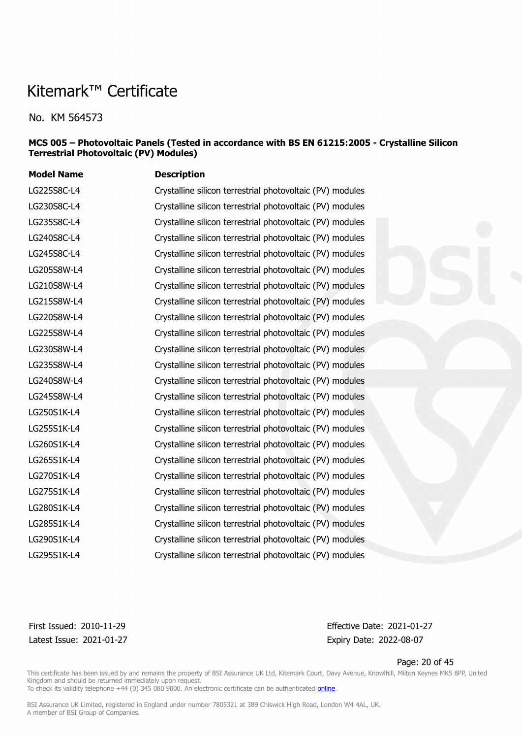No. KM 564573

#### **MCS 005 – Photovoltaic Panels (Tested in accordance with BS EN 61215:2005 - Crystalline Silicon Terrestrial Photovoltaic (PV) Modules)**

| <b>Model Name</b> | <b>Description</b>                                        |
|-------------------|-----------------------------------------------------------|
| LG225S8C-L4       | Crystalline silicon terrestrial photovoltaic (PV) modules |
| LG230S8C-L4       | Crystalline silicon terrestrial photovoltaic (PV) modules |
| LG235S8C-L4       | Crystalline silicon terrestrial photovoltaic (PV) modules |
| LG240S8C-L4       | Crystalline silicon terrestrial photovoltaic (PV) modules |
| LG245S8C-L4       | Crystalline silicon terrestrial photovoltaic (PV) modules |
| LG205S8W-L4       | Crystalline silicon terrestrial photovoltaic (PV) modules |
| LG210S8W-L4       | Crystalline silicon terrestrial photovoltaic (PV) modules |
| LG215S8W-L4       | Crystalline silicon terrestrial photovoltaic (PV) modules |
| LG220S8W-L4       | Crystalline silicon terrestrial photovoltaic (PV) modules |
| LG225S8W-L4       | Crystalline silicon terrestrial photovoltaic (PV) modules |
| LG230S8W-L4       | Crystalline silicon terrestrial photovoltaic (PV) modules |
| LG235S8W-L4       | Crystalline silicon terrestrial photovoltaic (PV) modules |
| LG240S8W-L4       | Crystalline silicon terrestrial photovoltaic (PV) modules |
| LG245S8W-L4       | Crystalline silicon terrestrial photovoltaic (PV) modules |
| LG250S1K-L4       | Crystalline silicon terrestrial photovoltaic (PV) modules |
| LG255S1K-L4       | Crystalline silicon terrestrial photovoltaic (PV) modules |
| LG260S1K-L4       | Crystalline silicon terrestrial photovoltaic (PV) modules |
| LG265S1K-L4       | Crystalline silicon terrestrial photovoltaic (PV) modules |
| LG270S1K-L4       | Crystalline silicon terrestrial photovoltaic (PV) modules |
| LG275S1K-L4       | Crystalline silicon terrestrial photovoltaic (PV) modules |
| LG280S1K-L4       | Crystalline silicon terrestrial photovoltaic (PV) modules |
| LG285S1K-L4       | Crystalline silicon terrestrial photovoltaic (PV) modules |
| LG290S1K-L4       | Crystalline silicon terrestrial photovoltaic (PV) modules |
| LG295S1K-L4       | Crystalline silicon terrestrial photovoltaic (PV) modules |

Latest Issue: 2021-01-27 Expiry Date: 2022-08-07

First Issued: 2010-11-29 Effective Date: 2021-01-27

Page: 20 of 45

This certificate has been issued by and remains the property of BSI Assurance UK Ltd, Kitemark Court, Davy Avenue, Knowlhill, Milton Keynes MK5 8PP, United Kingdom and should be returned immediately upon request.

To check its validity telephone +44 (0) 345 080 9000. An electronic certificate can be authenticated *[online](https://pgplus.bsigroup.com/CertificateValidation/CertificateValidator.aspx?CertificateNumber=KM+564573&ReIssueDate=27%2f01%2f2021&Template=uk)*.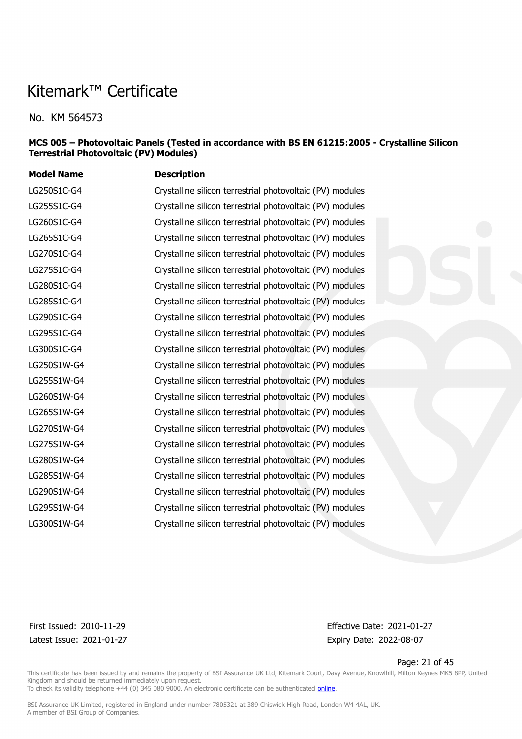No. KM 564573

#### **MCS 005 – Photovoltaic Panels (Tested in accordance with BS EN 61215:2005 - Crystalline Silicon Terrestrial Photovoltaic (PV) Modules)**

| <b>Model Name</b> | <b>Description</b>                                        |
|-------------------|-----------------------------------------------------------|
| LG250S1C-G4       | Crystalline silicon terrestrial photovoltaic (PV) modules |
| LG255S1C-G4       | Crystalline silicon terrestrial photovoltaic (PV) modules |
| LG260S1C-G4       | Crystalline silicon terrestrial photovoltaic (PV) modules |
| LG265S1C-G4       | Crystalline silicon terrestrial photovoltaic (PV) modules |
| LG270S1C-G4       | Crystalline silicon terrestrial photovoltaic (PV) modules |
| LG275S1C-G4       | Crystalline silicon terrestrial photovoltaic (PV) modules |
| LG280S1C-G4       | Crystalline silicon terrestrial photovoltaic (PV) modules |
| LG285S1C-G4       | Crystalline silicon terrestrial photovoltaic (PV) modules |
| LG290S1C-G4       | Crystalline silicon terrestrial photovoltaic (PV) modules |
| LG295S1C-G4       | Crystalline silicon terrestrial photovoltaic (PV) modules |
| LG300S1C-G4       | Crystalline silicon terrestrial photovoltaic (PV) modules |
| LG250S1W-G4       | Crystalline silicon terrestrial photovoltaic (PV) modules |
| LG255S1W-G4       | Crystalline silicon terrestrial photovoltaic (PV) modules |
| LG260S1W-G4       | Crystalline silicon terrestrial photovoltaic (PV) modules |
| LG265S1W-G4       | Crystalline silicon terrestrial photovoltaic (PV) modules |
| LG270S1W-G4       | Crystalline silicon terrestrial photovoltaic (PV) modules |
| LG275S1W-G4       | Crystalline silicon terrestrial photovoltaic (PV) modules |
| LG280S1W-G4       | Crystalline silicon terrestrial photovoltaic (PV) modules |
| LG285S1W-G4       | Crystalline silicon terrestrial photovoltaic (PV) modules |
| LG290S1W-G4       | Crystalline silicon terrestrial photovoltaic (PV) modules |
| LG295S1W-G4       | Crystalline silicon terrestrial photovoltaic (PV) modules |
| LG300S1W-G4       | Crystalline silicon terrestrial photovoltaic (PV) modules |
|                   |                                                           |

Latest Issue: 2021-01-27 Expiry Date: 2022-08-07

First Issued: 2010-11-29 Effective Date: 2021-01-27

Page: 21 of 45

This certificate has been issued by and remains the property of BSI Assurance UK Ltd, Kitemark Court, Davy Avenue, Knowlhill, Milton Keynes MK5 8PP, United Kingdom and should be returned immediately upon request. To check its validity telephone +44 (0) 345 080 9000. An electronic certificate can be authenticated *[online](https://pgplus.bsigroup.com/CertificateValidation/CertificateValidator.aspx?CertificateNumber=KM+564573&ReIssueDate=27%2f01%2f2021&Template=uk)*.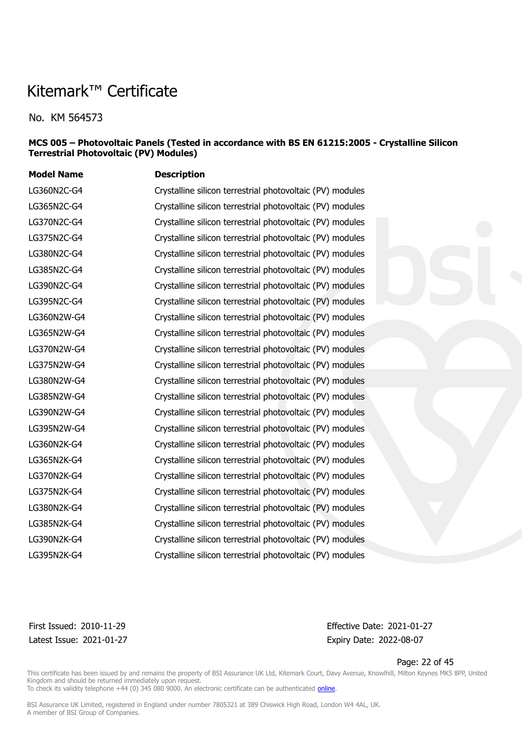No. KM 564573

#### **MCS 005 – Photovoltaic Panels (Tested in accordance with BS EN 61215:2005 - Crystalline Silicon Terrestrial Photovoltaic (PV) Modules)**

| <b>Model Name</b> | <b>Description</b>                                        |
|-------------------|-----------------------------------------------------------|
| LG360N2C-G4       | Crystalline silicon terrestrial photovoltaic (PV) modules |
| LG365N2C-G4       | Crystalline silicon terrestrial photovoltaic (PV) modules |
| LG370N2C-G4       | Crystalline silicon terrestrial photovoltaic (PV) modules |
| LG375N2C-G4       | Crystalline silicon terrestrial photovoltaic (PV) modules |
| LG380N2C-G4       | Crystalline silicon terrestrial photovoltaic (PV) modules |
| LG385N2C-G4       | Crystalline silicon terrestrial photovoltaic (PV) modules |
| LG390N2C-G4       | Crystalline silicon terrestrial photovoltaic (PV) modules |
| LG395N2C-G4       | Crystalline silicon terrestrial photovoltaic (PV) modules |
| LG360N2W-G4       | Crystalline silicon terrestrial photovoltaic (PV) modules |
| LG365N2W-G4       | Crystalline silicon terrestrial photovoltaic (PV) modules |
| LG370N2W-G4       | Crystalline silicon terrestrial photovoltaic (PV) modules |
| LG375N2W-G4       | Crystalline silicon terrestrial photovoltaic (PV) modules |
| LG380N2W-G4       | Crystalline silicon terrestrial photovoltaic (PV) modules |
| LG385N2W-G4       | Crystalline silicon terrestrial photovoltaic (PV) modules |
| LG390N2W-G4       | Crystalline silicon terrestrial photovoltaic (PV) modules |
| LG395N2W-G4       | Crystalline silicon terrestrial photovoltaic (PV) modules |
| LG360N2K-G4       | Crystalline silicon terrestrial photovoltaic (PV) modules |
| LG365N2K-G4       | Crystalline silicon terrestrial photovoltaic (PV) modules |
| LG370N2K-G4       | Crystalline silicon terrestrial photovoltaic (PV) modules |
| LG375N2K-G4       | Crystalline silicon terrestrial photovoltaic (PV) modules |
| LG380N2K-G4       | Crystalline silicon terrestrial photovoltaic (PV) modules |
| LG385N2K-G4       | Crystalline silicon terrestrial photovoltaic (PV) modules |
| LG390N2K-G4       | Crystalline silicon terrestrial photovoltaic (PV) modules |
| LG395N2K-G4       | Crystalline silicon terrestrial photovoltaic (PV) modules |

Latest Issue: 2021-01-27 Expiry Date: 2022-08-07

First Issued: 2010-11-29 Effective Date: 2021-01-27

Page: 22 of 45

This certificate has been issued by and remains the property of BSI Assurance UK Ltd, Kitemark Court, Davy Avenue, Knowlhill, Milton Keynes MK5 8PP, United Kingdom and should be returned immediately upon request.

To check its validity telephone +44 (0) 345 080 9000. An electronic certificate can be authenticated *[online](https://pgplus.bsigroup.com/CertificateValidation/CertificateValidator.aspx?CertificateNumber=KM+564573&ReIssueDate=27%2f01%2f2021&Template=uk)*.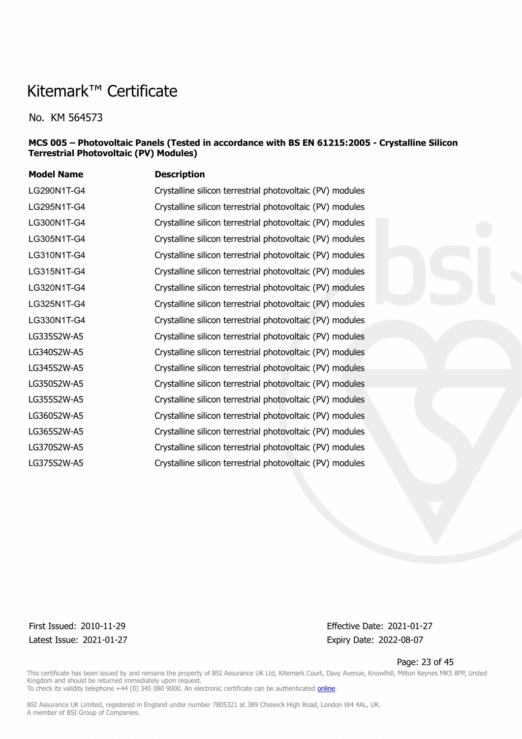No. KM 564573

#### **MCS 005 – Photovoltaic Panels (Tested in accordance with BS EN 61215:2005 - Crystalline Silicon Terrestrial Photovoltaic (PV) Modules)**

| <b>Description</b>                                        |
|-----------------------------------------------------------|
| Crystalline silicon terrestrial photovoltaic (PV) modules |
| Crystalline silicon terrestrial photovoltaic (PV) modules |
| Crystalline silicon terrestrial photovoltaic (PV) modules |
| Crystalline silicon terrestrial photovoltaic (PV) modules |
| Crystalline silicon terrestrial photovoltaic (PV) modules |
| Crystalline silicon terrestrial photovoltaic (PV) modules |
| Crystalline silicon terrestrial photovoltaic (PV) modules |
| Crystalline silicon terrestrial photovoltaic (PV) modules |
| Crystalline silicon terrestrial photovoltaic (PV) modules |
| Crystalline silicon terrestrial photovoltaic (PV) modules |
| Crystalline silicon terrestrial photovoltaic (PV) modules |
| Crystalline silicon terrestrial photovoltaic (PV) modules |
| Crystalline silicon terrestrial photovoltaic (PV) modules |
| Crystalline silicon terrestrial photovoltaic (PV) modules |
| Crystalline silicon terrestrial photovoltaic (PV) modules |
| Crystalline silicon terrestrial photovoltaic (PV) modules |
| Crystalline silicon terrestrial photovoltaic (PV) modules |
| Crystalline silicon terrestrial photovoltaic (PV) modules |
|                                                           |

Latest Issue: 2021-01-27 Expiry Date: 2022-08-07

First Issued: 2010-11-29 Effective Date: 2021-01-27

Page: 23 of 45

This certificate has been issued by and remains the property of BSI Assurance UK Ltd, Kitemark Court, Davy Avenue, Knowlhill, Milton Keynes MK5 8PP, United Kingdom and should be returned immediately upon request. To check its validity telephone +44 (0) 345 080 9000. An electronic certificate can be authenticated *[online](https://pgplus.bsigroup.com/CertificateValidation/CertificateValidator.aspx?CertificateNumber=KM+564573&ReIssueDate=27%2f01%2f2021&Template=uk)*.

BSI Assurance UK Limited, registered in England under number 7805321 at 389 Chiswick High Road, London W4 4AL, UK.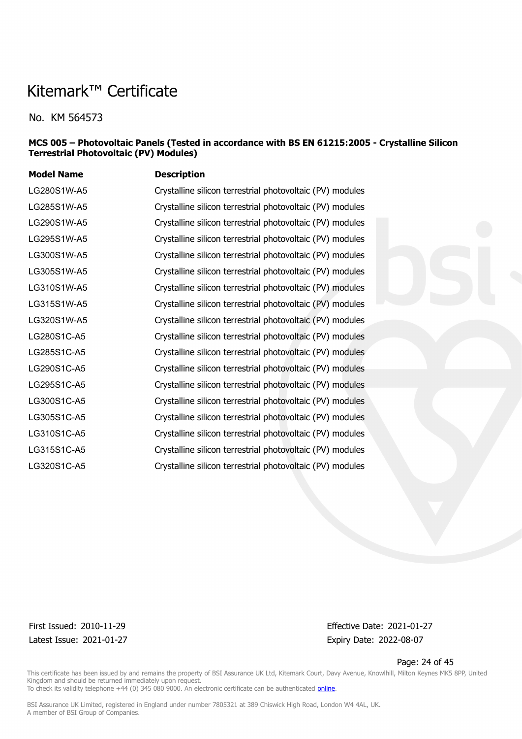No. KM 564573

#### **MCS 005 – Photovoltaic Panels (Tested in accordance with BS EN 61215:2005 - Crystalline Silicon Terrestrial Photovoltaic (PV) Modules)**

| <b>Model Name</b> | <b>Description</b>                                        |
|-------------------|-----------------------------------------------------------|
| LG280S1W-A5       | Crystalline silicon terrestrial photovoltaic (PV) modules |
| LG285S1W-A5       | Crystalline silicon terrestrial photovoltaic (PV) modules |
| LG290S1W-A5       | Crystalline silicon terrestrial photovoltaic (PV) modules |
| LG295S1W-A5       | Crystalline silicon terrestrial photovoltaic (PV) modules |
| LG300S1W-A5       | Crystalline silicon terrestrial photovoltaic (PV) modules |
| LG305S1W-A5       | Crystalline silicon terrestrial photovoltaic (PV) modules |
| LG310S1W-A5       | Crystalline silicon terrestrial photovoltaic (PV) modules |
| LG315S1W-A5       | Crystalline silicon terrestrial photovoltaic (PV) modules |
| LG320S1W-A5       | Crystalline silicon terrestrial photovoltaic (PV) modules |
| LG280S1C-A5       | Crystalline silicon terrestrial photovoltaic (PV) modules |
| LG285S1C-A5       | Crystalline silicon terrestrial photovoltaic (PV) modules |
| LG290S1C-A5       | Crystalline silicon terrestrial photovoltaic (PV) modules |
| LG295S1C-A5       | Crystalline silicon terrestrial photovoltaic (PV) modules |
| LG300S1C-A5       | Crystalline silicon terrestrial photovoltaic (PV) modules |
| LG305S1C-A5       | Crystalline silicon terrestrial photovoltaic (PV) modules |
| LG310S1C-A5       | Crystalline silicon terrestrial photovoltaic (PV) modules |
| LG315S1C-A5       | Crystalline silicon terrestrial photovoltaic (PV) modules |
| LG320S1C-A5       | Crystalline silicon terrestrial photovoltaic (PV) modules |
|                   |                                                           |

Latest Issue: 2021-01-27 Expiry Date: 2022-08-07

First Issued: 2010-11-29 Effective Date: 2021-01-27

Page: 24 of 45

This certificate has been issued by and remains the property of BSI Assurance UK Ltd, Kitemark Court, Davy Avenue, Knowlhill, Milton Keynes MK5 8PP, United Kingdom and should be returned immediately upon request. To check its validity telephone +44 (0) 345 080 9000. An electronic certificate can be authenticated *[online](https://pgplus.bsigroup.com/CertificateValidation/CertificateValidator.aspx?CertificateNumber=KM+564573&ReIssueDate=27%2f01%2f2021&Template=uk)*.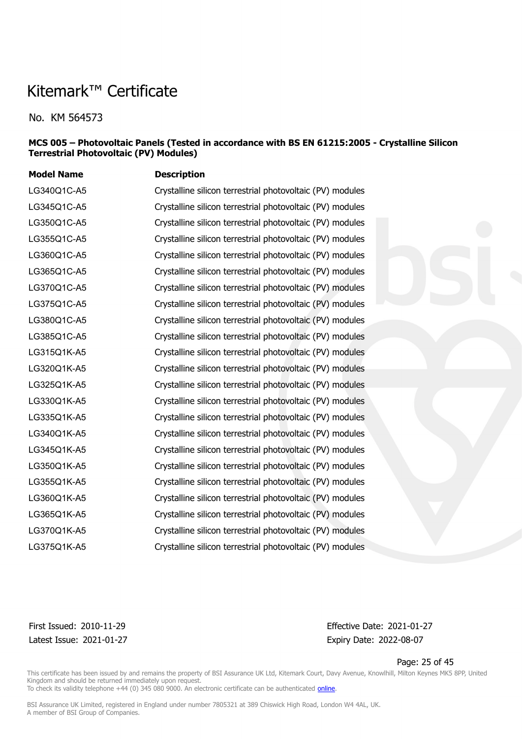No. KM 564573

#### **MCS 005 – Photovoltaic Panels (Tested in accordance with BS EN 61215:2005 - Crystalline Silicon Terrestrial Photovoltaic (PV) Modules)**

| <b>Model Name</b> | <b>Description</b>                                        |
|-------------------|-----------------------------------------------------------|
| LG340Q1C-A5       | Crystalline silicon terrestrial photovoltaic (PV) modules |
| LG345Q1C-A5       | Crystalline silicon terrestrial photovoltaic (PV) modules |
| LG350Q1C-A5       | Crystalline silicon terrestrial photovoltaic (PV) modules |
| LG355Q1C-A5       | Crystalline silicon terrestrial photovoltaic (PV) modules |
| LG360Q1C-A5       | Crystalline silicon terrestrial photovoltaic (PV) modules |
| LG365Q1C-A5       | Crystalline silicon terrestrial photovoltaic (PV) modules |
| LG370Q1C-A5       | Crystalline silicon terrestrial photovoltaic (PV) modules |
| LG375Q1C-A5       | Crystalline silicon terrestrial photovoltaic (PV) modules |
| LG380Q1C-A5       | Crystalline silicon terrestrial photovoltaic (PV) modules |
| LG385Q1C-A5       | Crystalline silicon terrestrial photovoltaic (PV) modules |
| LG315Q1K-A5       | Crystalline silicon terrestrial photovoltaic (PV) modules |
| LG320Q1K-A5       | Crystalline silicon terrestrial photovoltaic (PV) modules |
| LG325Q1K-A5       | Crystalline silicon terrestrial photovoltaic (PV) modules |
| LG330Q1K-A5       | Crystalline silicon terrestrial photovoltaic (PV) modules |
| LG335Q1K-A5       | Crystalline silicon terrestrial photovoltaic (PV) modules |
| LG340Q1K-A5       | Crystalline silicon terrestrial photovoltaic (PV) modules |
| LG345Q1K-A5       | Crystalline silicon terrestrial photovoltaic (PV) modules |
| LG350Q1K-A5       | Crystalline silicon terrestrial photovoltaic (PV) modules |
| LG355Q1K-A5       | Crystalline silicon terrestrial photovoltaic (PV) modules |
| LG360Q1K-A5       | Crystalline silicon terrestrial photovoltaic (PV) modules |
| LG365Q1K-A5       | Crystalline silicon terrestrial photovoltaic (PV) modules |
| LG370Q1K-A5       | Crystalline silicon terrestrial photovoltaic (PV) modules |
| LG375Q1K-A5       | Crystalline silicon terrestrial photovoltaic (PV) modules |
|                   |                                                           |

Latest Issue: 2021-01-27 Expiry Date: 2022-08-07

First Issued: 2010-11-29 Effective Date: 2021-01-27

Page: 25 of 45

This certificate has been issued by and remains the property of BSI Assurance UK Ltd, Kitemark Court, Davy Avenue, Knowlhill, Milton Keynes MK5 8PP, United Kingdom and should be returned immediately upon request.

To check its validity telephone +44 (0) 345 080 9000. An electronic certificate can be authenticated *[online](https://pgplus.bsigroup.com/CertificateValidation/CertificateValidator.aspx?CertificateNumber=KM+564573&ReIssueDate=27%2f01%2f2021&Template=uk)*.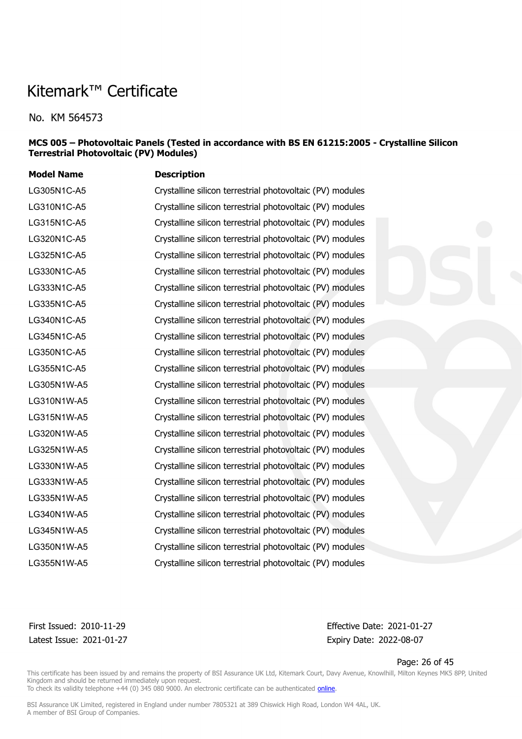No. KM 564573

#### **MCS 005 – Photovoltaic Panels (Tested in accordance with BS EN 61215:2005 - Crystalline Silicon Terrestrial Photovoltaic (PV) Modules)**

| <b>Model Name</b> | <b>Description</b>                                        |
|-------------------|-----------------------------------------------------------|
| LG305N1C-A5       | Crystalline silicon terrestrial photovoltaic (PV) modules |
| LG310N1C-A5       | Crystalline silicon terrestrial photovoltaic (PV) modules |
| LG315N1C-A5       | Crystalline silicon terrestrial photovoltaic (PV) modules |
| LG320N1C-A5       | Crystalline silicon terrestrial photovoltaic (PV) modules |
| LG325N1C-A5       | Crystalline silicon terrestrial photovoltaic (PV) modules |
| LG330N1C-A5       | Crystalline silicon terrestrial photovoltaic (PV) modules |
| LG333N1C-A5       | Crystalline silicon terrestrial photovoltaic (PV) modules |
| LG335N1C-A5       | Crystalline silicon terrestrial photovoltaic (PV) modules |
| LG340N1C-A5       | Crystalline silicon terrestrial photovoltaic (PV) modules |
| LG345N1C-A5       | Crystalline silicon terrestrial photovoltaic (PV) modules |
| LG350N1C-A5       | Crystalline silicon terrestrial photovoltaic (PV) modules |
| LG355N1C-A5       | Crystalline silicon terrestrial photovoltaic (PV) modules |
| LG305N1W-A5       | Crystalline silicon terrestrial photovoltaic (PV) modules |
| LG310N1W-A5       | Crystalline silicon terrestrial photovoltaic (PV) modules |
| LG315N1W-A5       | Crystalline silicon terrestrial photovoltaic (PV) modules |
| LG320N1W-A5       | Crystalline silicon terrestrial photovoltaic (PV) modules |
| LG325N1W-A5       | Crystalline silicon terrestrial photovoltaic (PV) modules |
| LG330N1W-A5       | Crystalline silicon terrestrial photovoltaic (PV) modules |
| LG333N1W-A5       | Crystalline silicon terrestrial photovoltaic (PV) modules |
| LG335N1W-A5       | Crystalline silicon terrestrial photovoltaic (PV) modules |
| LG340N1W-A5       | Crystalline silicon terrestrial photovoltaic (PV) modules |
| LG345N1W-A5       | Crystalline silicon terrestrial photovoltaic (PV) modules |
| LG350N1W-A5       | Crystalline silicon terrestrial photovoltaic (PV) modules |
| LG355N1W-A5       | Crystalline silicon terrestrial photovoltaic (PV) modules |

Latest Issue: 2021-01-27 Expiry Date: 2022-08-07

First Issued: 2010-11-29 Effective Date: 2021-01-27

Page: 26 of 45

This certificate has been issued by and remains the property of BSI Assurance UK Ltd, Kitemark Court, Davy Avenue, Knowlhill, Milton Keynes MK5 8PP, United Kingdom and should be returned immediately upon request.

To check its validity telephone +44 (0) 345 080 9000. An electronic certificate can be authenticated *[online](https://pgplus.bsigroup.com/CertificateValidation/CertificateValidator.aspx?CertificateNumber=KM+564573&ReIssueDate=27%2f01%2f2021&Template=uk)*.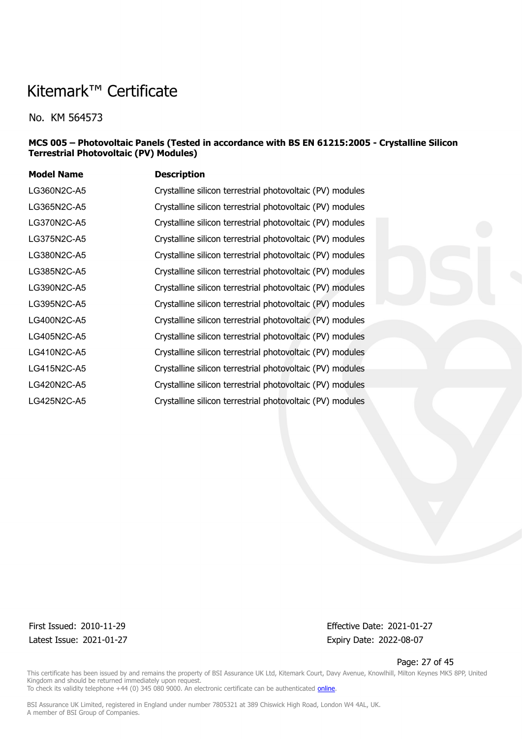No. KM 564573

#### **MCS 005 – Photovoltaic Panels (Tested in accordance with BS EN 61215:2005 - Crystalline Silicon Terrestrial Photovoltaic (PV) Modules)**

| <b>Description</b>                                        |
|-----------------------------------------------------------|
| Crystalline silicon terrestrial photovoltaic (PV) modules |
| Crystalline silicon terrestrial photovoltaic (PV) modules |
| Crystalline silicon terrestrial photovoltaic (PV) modules |
| Crystalline silicon terrestrial photovoltaic (PV) modules |
| Crystalline silicon terrestrial photovoltaic (PV) modules |
| Crystalline silicon terrestrial photovoltaic (PV) modules |
| Crystalline silicon terrestrial photovoltaic (PV) modules |
| Crystalline silicon terrestrial photovoltaic (PV) modules |
| Crystalline silicon terrestrial photovoltaic (PV) modules |
| Crystalline silicon terrestrial photovoltaic (PV) modules |
| Crystalline silicon terrestrial photovoltaic (PV) modules |
| Crystalline silicon terrestrial photovoltaic (PV) modules |
| Crystalline silicon terrestrial photovoltaic (PV) modules |
| Crystalline silicon terrestrial photovoltaic (PV) modules |
|                                                           |

Latest Issue: 2021-01-27 Expiry Date: 2022-08-07

First Issued: 2010-11-29 Effective Date: 2021-01-27

Page: 27 of 45

This certificate has been issued by and remains the property of BSI Assurance UK Ltd, Kitemark Court, Davy Avenue, Knowlhill, Milton Keynes MK5 8PP, United Kingdom and should be returned immediately upon request. To check its validity telephone +44 (0) 345 080 9000. An electronic certificate can be authenticated *[online](https://pgplus.bsigroup.com/CertificateValidation/CertificateValidator.aspx?CertificateNumber=KM+564573&ReIssueDate=27%2f01%2f2021&Template=uk)*.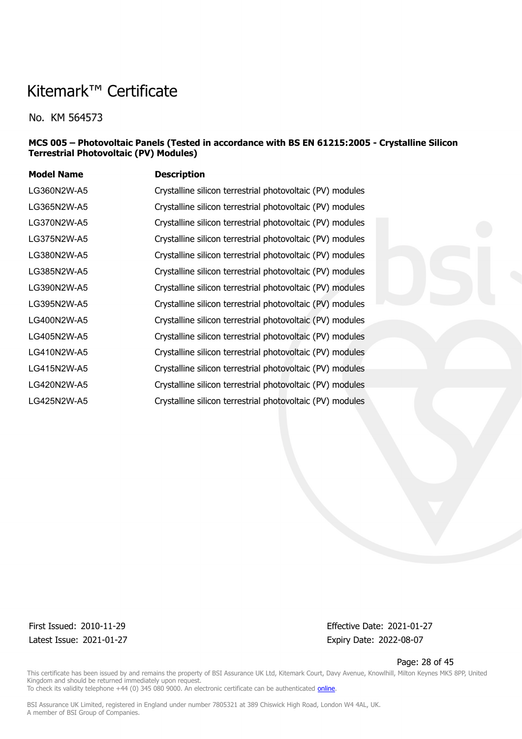No. KM 564573

#### **MCS 005 – Photovoltaic Panels (Tested in accordance with BS EN 61215:2005 - Crystalline Silicon Terrestrial Photovoltaic (PV) Modules)**

| <b>Description</b>                                        |
|-----------------------------------------------------------|
| Crystalline silicon terrestrial photovoltaic (PV) modules |
| Crystalline silicon terrestrial photovoltaic (PV) modules |
| Crystalline silicon terrestrial photovoltaic (PV) modules |
| Crystalline silicon terrestrial photovoltaic (PV) modules |
| Crystalline silicon terrestrial photovoltaic (PV) modules |
| Crystalline silicon terrestrial photovoltaic (PV) modules |
| Crystalline silicon terrestrial photovoltaic (PV) modules |
| Crystalline silicon terrestrial photovoltaic (PV) modules |
| Crystalline silicon terrestrial photovoltaic (PV) modules |
| Crystalline silicon terrestrial photovoltaic (PV) modules |
| Crystalline silicon terrestrial photovoltaic (PV) modules |
| Crystalline silicon terrestrial photovoltaic (PV) modules |
| Crystalline silicon terrestrial photovoltaic (PV) modules |
| Crystalline silicon terrestrial photovoltaic (PV) modules |
|                                                           |

Latest Issue: 2021-01-27 Expiry Date: 2022-08-07

First Issued: 2010-11-29 Effective Date: 2021-01-27

Page: 28 of 45

This certificate has been issued by and remains the property of BSI Assurance UK Ltd, Kitemark Court, Davy Avenue, Knowlhill, Milton Keynes MK5 8PP, United Kingdom and should be returned immediately upon request. To check its validity telephone +44 (0) 345 080 9000. An electronic certificate can be authenticated *[online](https://pgplus.bsigroup.com/CertificateValidation/CertificateValidator.aspx?CertificateNumber=KM+564573&ReIssueDate=27%2f01%2f2021&Template=uk)*.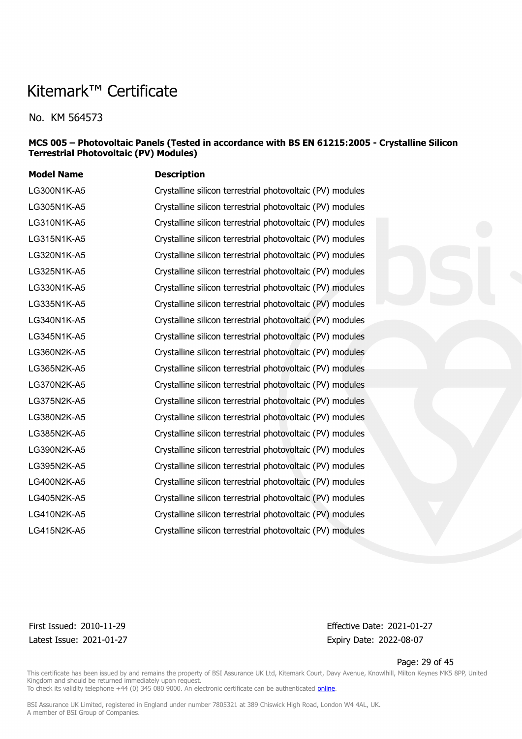No. KM 564573

#### **MCS 005 – Photovoltaic Panels (Tested in accordance with BS EN 61215:2005 - Crystalline Silicon Terrestrial Photovoltaic (PV) Modules)**

| <b>Model Name</b> | <b>Description</b>                                        |
|-------------------|-----------------------------------------------------------|
| LG300N1K-A5       | Crystalline silicon terrestrial photovoltaic (PV) modules |
| LG305N1K-A5       | Crystalline silicon terrestrial photovoltaic (PV) modules |
| LG310N1K-A5       | Crystalline silicon terrestrial photovoltaic (PV) modules |
| LG315N1K-A5       | Crystalline silicon terrestrial photovoltaic (PV) modules |
| LG320N1K-A5       | Crystalline silicon terrestrial photovoltaic (PV) modules |
| LG325N1K-A5       | Crystalline silicon terrestrial photovoltaic (PV) modules |
| LG330N1K-A5       | Crystalline silicon terrestrial photovoltaic (PV) modules |
| LG335N1K-A5       | Crystalline silicon terrestrial photovoltaic (PV) modules |
| LG340N1K-A5       | Crystalline silicon terrestrial photovoltaic (PV) modules |
| LG345N1K-A5       | Crystalline silicon terrestrial photovoltaic (PV) modules |
| LG360N2K-A5       | Crystalline silicon terrestrial photovoltaic (PV) modules |
| LG365N2K-A5       | Crystalline silicon terrestrial photovoltaic (PV) modules |
| LG370N2K-A5       | Crystalline silicon terrestrial photovoltaic (PV) modules |
| LG375N2K-A5       | Crystalline silicon terrestrial photovoltaic (PV) modules |
| LG380N2K-A5       | Crystalline silicon terrestrial photovoltaic (PV) modules |
| LG385N2K-A5       | Crystalline silicon terrestrial photovoltaic (PV) modules |
| LG390N2K-A5       | Crystalline silicon terrestrial photovoltaic (PV) modules |
| LG395N2K-A5       | Crystalline silicon terrestrial photovoltaic (PV) modules |
| LG400N2K-A5       | Crystalline silicon terrestrial photovoltaic (PV) modules |
| LG405N2K-A5       | Crystalline silicon terrestrial photovoltaic (PV) modules |
| LG410N2K-A5       | Crystalline silicon terrestrial photovoltaic (PV) modules |
| LG415N2K-A5       | Crystalline silicon terrestrial photovoltaic (PV) modules |
|                   |                                                           |

Latest Issue: 2021-01-27 Expiry Date: 2022-08-07

First Issued: 2010-11-29 Effective Date: 2021-01-27

Page: 29 of 45

This certificate has been issued by and remains the property of BSI Assurance UK Ltd, Kitemark Court, Davy Avenue, Knowlhill, Milton Keynes MK5 8PP, United Kingdom and should be returned immediately upon request. To check its validity telephone +44 (0) 345 080 9000. An electronic certificate can be authenticated *[online](https://pgplus.bsigroup.com/CertificateValidation/CertificateValidator.aspx?CertificateNumber=KM+564573&ReIssueDate=27%2f01%2f2021&Template=uk)*.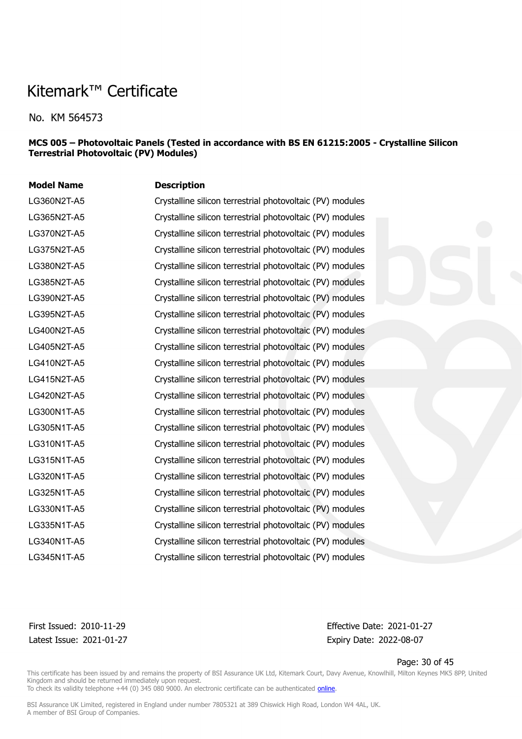No. KM 564573

#### **MCS 005 – Photovoltaic Panels (Tested in accordance with BS EN 61215:2005 - Crystalline Silicon Terrestrial Photovoltaic (PV) Modules)**

| <b>Model Name</b> | <b>Description</b>                                        |
|-------------------|-----------------------------------------------------------|
| LG360N2T-A5       | Crystalline silicon terrestrial photovoltaic (PV) modules |
| LG365N2T-A5       | Crystalline silicon terrestrial photovoltaic (PV) modules |
| LG370N2T-A5       | Crystalline silicon terrestrial photovoltaic (PV) modules |
| LG375N2T-A5       | Crystalline silicon terrestrial photovoltaic (PV) modules |
| LG380N2T-A5       | Crystalline silicon terrestrial photovoltaic (PV) modules |
| LG385N2T-A5       | Crystalline silicon terrestrial photovoltaic (PV) modules |
| LG390N2T-A5       | Crystalline silicon terrestrial photovoltaic (PV) modules |
| LG395N2T-A5       | Crystalline silicon terrestrial photovoltaic (PV) modules |
| LG400N2T-A5       | Crystalline silicon terrestrial photovoltaic (PV) modules |
| LG405N2T-A5       | Crystalline silicon terrestrial photovoltaic (PV) modules |
| LG410N2T-A5       | Crystalline silicon terrestrial photovoltaic (PV) modules |
| LG415N2T-A5       | Crystalline silicon terrestrial photovoltaic (PV) modules |
| LG420N2T-A5       | Crystalline silicon terrestrial photovoltaic (PV) modules |
| LG300N1T-A5       | Crystalline silicon terrestrial photovoltaic (PV) modules |
| LG305N1T-A5       | Crystalline silicon terrestrial photovoltaic (PV) modules |
| LG310N1T-A5       | Crystalline silicon terrestrial photovoltaic (PV) modules |
| LG315N1T-A5       | Crystalline silicon terrestrial photovoltaic (PV) modules |
| LG320N1T-A5       | Crystalline silicon terrestrial photovoltaic (PV) modules |
| LG325N1T-A5       | Crystalline silicon terrestrial photovoltaic (PV) modules |
| LG330N1T-A5       | Crystalline silicon terrestrial photovoltaic (PV) modules |
| LG335N1T-A5       | Crystalline silicon terrestrial photovoltaic (PV) modules |
| LG340N1T-A5       | Crystalline silicon terrestrial photovoltaic (PV) modules |
| LG345N1T-A5       | Crystalline silicon terrestrial photovoltaic (PV) modules |

Latest Issue: 2021-01-27 Expiry Date: 2022-08-07

First Issued: 2010-11-29 Effective Date: 2021-01-27

Page: 30 of 45

This certificate has been issued by and remains the property of BSI Assurance UK Ltd, Kitemark Court, Davy Avenue, Knowlhill, Milton Keynes MK5 8PP, United Kingdom and should be returned immediately upon request.

To check its validity telephone +44 (0) 345 080 9000. An electronic certificate can be authenticated *[online](https://pgplus.bsigroup.com/CertificateValidation/CertificateValidator.aspx?CertificateNumber=KM+564573&ReIssueDate=27%2f01%2f2021&Template=uk)*.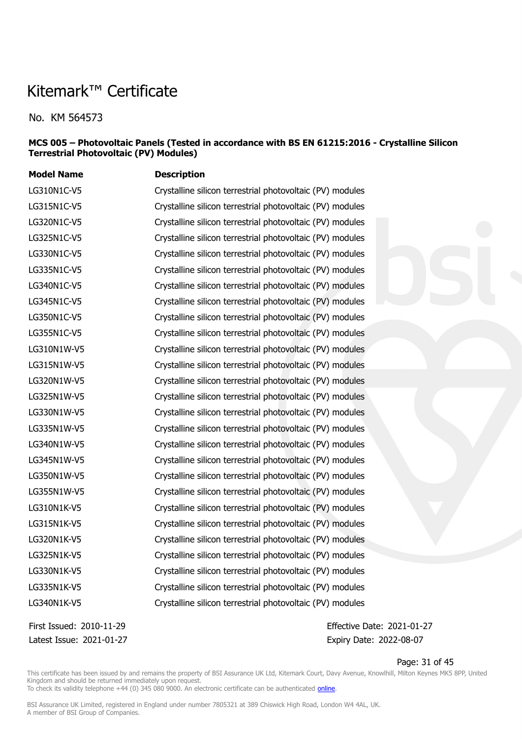No. KM 564573

#### **MCS 005 – Photovoltaic Panels (Tested in accordance with BS EN 61215:2016 - Crystalline Silicon Terrestrial Photovoltaic (PV) Modules)**

**Model Name Description** LG310N1C-V5 Crystalline silicon terrestrial photovoltaic (PV) modules LG315N1C-V5 Crystalline silicon terrestrial photovoltaic (PV) modules LG320N1C-V5 Crystalline silicon terrestrial photovoltaic (PV) modules LG325N1C-V5 Crystalline silicon terrestrial photovoltaic (PV) modules LG330N1C-V5 Crystalline silicon terrestrial photovoltaic (PV) modules LG335N1C-V5 Crystalline silicon terrestrial photovoltaic (PV) modules LG340N1C-V5 Crystalline silicon terrestrial photovoltaic (PV) modules LG345N1C-V5 Crystalline silicon terrestrial photovoltaic (PV) modules LG350N1C-V5 Crystalline silicon terrestrial photovoltaic (PV) modules LG355N1C-V5 Crystalline silicon terrestrial photovoltaic (PV) modules LG310N1W-V5 Crystalline silicon terrestrial photovoltaic (PV) modules LG315N1W-V5 Crystalline silicon terrestrial photovoltaic (PV) modules LG320N1W-V5 Crystalline silicon terrestrial photovoltaic (PV) modules LG325N1W-V5 Crystalline silicon terrestrial photovoltaic (PV) modules LG330N1W-V5 Crystalline silicon terrestrial photovoltaic (PV) modules LG335N1W-V5 Crystalline silicon terrestrial photovoltaic (PV) modules LG340N1W-V5 Crystalline silicon terrestrial photovoltaic (PV) modules LG345N1W-V5 Crystalline silicon terrestrial photovoltaic (PV) modules LG350N1W-V5 Crystalline silicon terrestrial photovoltaic (PV) modules LG355N1W-V5 Crystalline silicon terrestrial photovoltaic (PV) modules LG310N1K-V5 Crystalline silicon terrestrial photovoltaic (PV) modules LG315N1K-V5 Crystalline silicon terrestrial photovoltaic (PV) modules LG320N1K-V5 Crystalline silicon terrestrial photovoltaic (PV) modules LG325N1K-V5 Crystalline silicon terrestrial photovoltaic (PV) modules LG330N1K-V5 Crystalline silicon terrestrial photovoltaic (PV) modules LG335N1K-V5 Crystalline silicon terrestrial photovoltaic (PV) modules LG340N1K-V5 Crystalline silicon terrestrial photovoltaic (PV) modules

Latest Issue: 2021-01-27 Expiry Date: 2022-08-07

First Issued: 2010-11-29 Effective Date: 2021-01-27

Page: 31 of 45

This certificate has been issued by and remains the property of BSI Assurance UK Ltd, Kitemark Court, Davy Avenue, Knowlhill, Milton Keynes MK5 8PP, United Kingdom and should be returned immediately upon request. To check its validity telephone +44 (0) 345 080 9000. An electronic certificate can be authenticated [online](https://pgplus.bsigroup.com/CertificateValidation/CertificateValidator.aspx?CertificateNumber=KM+564573&ReIssueDate=27%2f01%2f2021&Template=uk).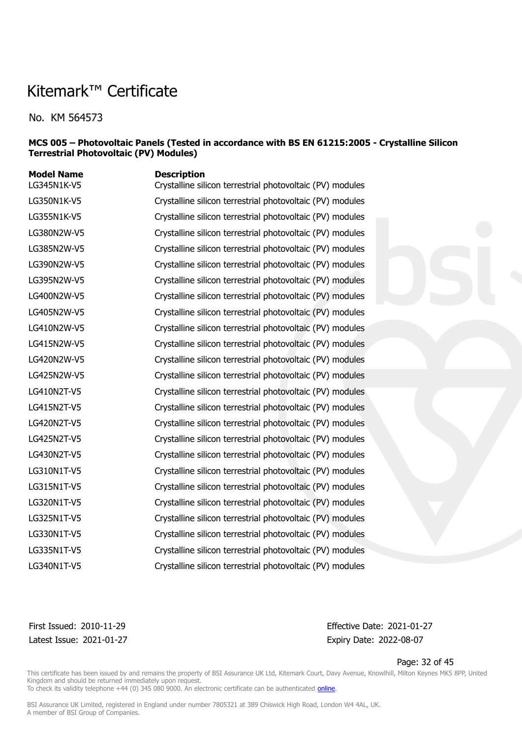No. KM 564573

#### **MCS 005 – Photovoltaic Panels (Tested in accordance with BS EN 61215:2005 - Crystalline Silicon Terrestrial Photovoltaic (PV) Modules)**

| <b>Model Name</b><br>LG345N1K-V5 | <b>Description</b><br>Crystalline silicon terrestrial photovoltaic (PV) modules |
|----------------------------------|---------------------------------------------------------------------------------|
| LG350N1K-V5                      | Crystalline silicon terrestrial photovoltaic (PV) modules                       |
| LG355N1K-V5                      | Crystalline silicon terrestrial photovoltaic (PV) modules                       |
| LG380N2W-V5                      | Crystalline silicon terrestrial photovoltaic (PV) modules                       |
| LG385N2W-V5                      | Crystalline silicon terrestrial photovoltaic (PV) modules                       |
| LG390N2W-V5                      | Crystalline silicon terrestrial photovoltaic (PV) modules                       |
| LG395N2W-V5                      | Crystalline silicon terrestrial photovoltaic (PV) modules                       |
| LG400N2W-V5                      | Crystalline silicon terrestrial photovoltaic (PV) modules                       |
| LG405N2W-V5                      | Crystalline silicon terrestrial photovoltaic (PV) modules                       |
| LG410N2W-V5                      | Crystalline silicon terrestrial photovoltaic (PV) modules                       |
| LG415N2W-V5                      | Crystalline silicon terrestrial photovoltaic (PV) modules                       |
| LG420N2W-V5                      | Crystalline silicon terrestrial photovoltaic (PV) modules                       |
| LG425N2W-V5                      | Crystalline silicon terrestrial photovoltaic (PV) modules                       |
| LG410N2T-V5                      | Crystalline silicon terrestrial photovoltaic (PV) modules                       |
| LG415N2T-V5                      | Crystalline silicon terrestrial photovoltaic (PV) modules                       |
| LG420N2T-V5                      | Crystalline silicon terrestrial photovoltaic (PV) modules                       |
| LG425N2T-V5                      | Crystalline silicon terrestrial photovoltaic (PV) modules                       |
| LG430N2T-V5                      | Crystalline silicon terrestrial photovoltaic (PV) modules                       |
| LG310N1T-V5                      | Crystalline silicon terrestrial photovoltaic (PV) modules                       |
| LG315N1T-V5                      | Crystalline silicon terrestrial photovoltaic (PV) modules                       |
| LG320N1T-V5                      | Crystalline silicon terrestrial photovoltaic (PV) modules                       |
| LG325N1T-V5                      | Crystalline silicon terrestrial photovoltaic (PV) modules                       |
| LG330N1T-V5                      | Crystalline silicon terrestrial photovoltaic (PV) modules                       |
| LG335N1T-V5                      | Crystalline silicon terrestrial photovoltaic (PV) modules                       |
| LG340N1T-V5                      | Crystalline silicon terrestrial photovoltaic (PV) modules                       |

Latest Issue: 2021-01-27 Expiry Date: 2022-08-07

First Issued: 2010-11-29 Effective Date: 2021-01-27

Page: 32 of 45

This certificate has been issued by and remains the property of BSI Assurance UK Ltd, Kitemark Court, Davy Avenue, Knowlhill, Milton Keynes MK5 8PP, United Kingdom and should be returned immediately upon request.

To check its validity telephone +44 (0) 345 080 9000. An electronic certificate can be authenticated *[online](https://pgplus.bsigroup.com/CertificateValidation/CertificateValidator.aspx?CertificateNumber=KM+564573&ReIssueDate=27%2f01%2f2021&Template=uk)*.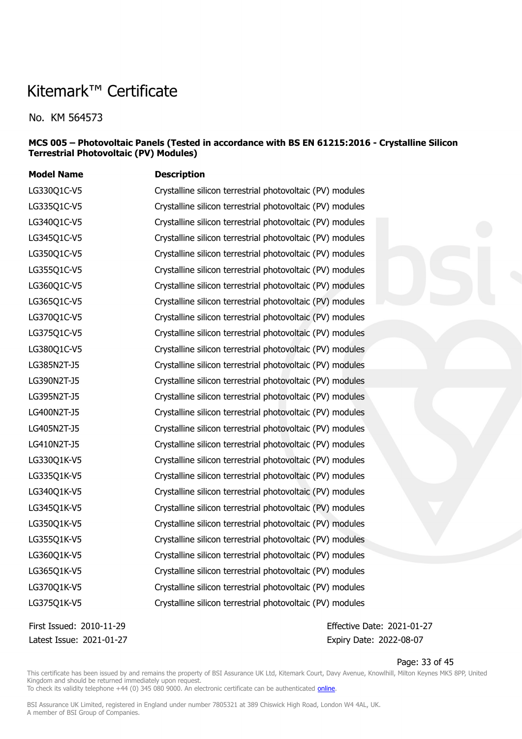No. KM 564573

#### **MCS 005 – Photovoltaic Panels (Tested in accordance with BS EN 61215:2016 - Crystalline Silicon Terrestrial Photovoltaic (PV) Modules)**

| <b>Model Name</b> | <b>Description</b>                                        |
|-------------------|-----------------------------------------------------------|
| LG330Q1C-V5       | Crystalline silicon terrestrial photovoltaic (PV) modules |
| LG335Q1C-V5       | Crystalline silicon terrestrial photovoltaic (PV) modules |
| LG340Q1C-V5       | Crystalline silicon terrestrial photovoltaic (PV) modules |
| LG345Q1C-V5       | Crystalline silicon terrestrial photovoltaic (PV) modules |
| LG350Q1C-V5       | Crystalline silicon terrestrial photovoltaic (PV) modules |
| LG355Q1C-V5       | Crystalline silicon terrestrial photovoltaic (PV) modules |
| LG360Q1C-V5       | Crystalline silicon terrestrial photovoltaic (PV) modules |
| LG365Q1C-V5       | Crystalline silicon terrestrial photovoltaic (PV) modules |
| LG370Q1C-V5       | Crystalline silicon terrestrial photovoltaic (PV) modules |
| LG375Q1C-V5       | Crystalline silicon terrestrial photovoltaic (PV) modules |
| LG380Q1C-V5       | Crystalline silicon terrestrial photovoltaic (PV) modules |
| LG385N2T-J5       | Crystalline silicon terrestrial photovoltaic (PV) modules |
| LG390N2T-J5       | Crystalline silicon terrestrial photovoltaic (PV) modules |
| LG395N2T-J5       | Crystalline silicon terrestrial photovoltaic (PV) modules |
| LG400N2T-J5       | Crystalline silicon terrestrial photovoltaic (PV) modules |
| LG405N2T-J5       | Crystalline silicon terrestrial photovoltaic (PV) modules |
| LG410N2T-J5       | Crystalline silicon terrestrial photovoltaic (PV) modules |
| LG330Q1K-V5       | Crystalline silicon terrestrial photovoltaic (PV) modules |
| LG335Q1K-V5       | Crystalline silicon terrestrial photovoltaic (PV) modules |
| LG340Q1K-V5       | Crystalline silicon terrestrial photovoltaic (PV) modules |
| LG345Q1K-V5       | Crystalline silicon terrestrial photovoltaic (PV) modules |
| LG350Q1K-V5       | Crystalline silicon terrestrial photovoltaic (PV) modules |
| LG355Q1K-V5       | Crystalline silicon terrestrial photovoltaic (PV) modules |
| LG360Q1K-V5       | Crystalline silicon terrestrial photovoltaic (PV) modules |
| LG365Q1K-V5       | Crystalline silicon terrestrial photovoltaic (PV) modules |
| LG370Q1K-V5       | Crystalline silicon terrestrial photovoltaic (PV) modules |
| LG375Q1K-V5       | Crystalline silicon terrestrial photovoltaic (PV) modules |

Latest Issue: 2021-01-27 Expiry Date: 2022-08-07

First Issued: 2010-11-29 Effective Date: 2021-01-27

Page: 33 of 45

This certificate has been issued by and remains the property of BSI Assurance UK Ltd, Kitemark Court, Davy Avenue, Knowlhill, Milton Keynes MK5 8PP, United Kingdom and should be returned immediately upon request.

To check its validity telephone +44 (0) 345 080 9000. An electronic certificate can be authenticated *[online](https://pgplus.bsigroup.com/CertificateValidation/CertificateValidator.aspx?CertificateNumber=KM+564573&ReIssueDate=27%2f01%2f2021&Template=uk)*.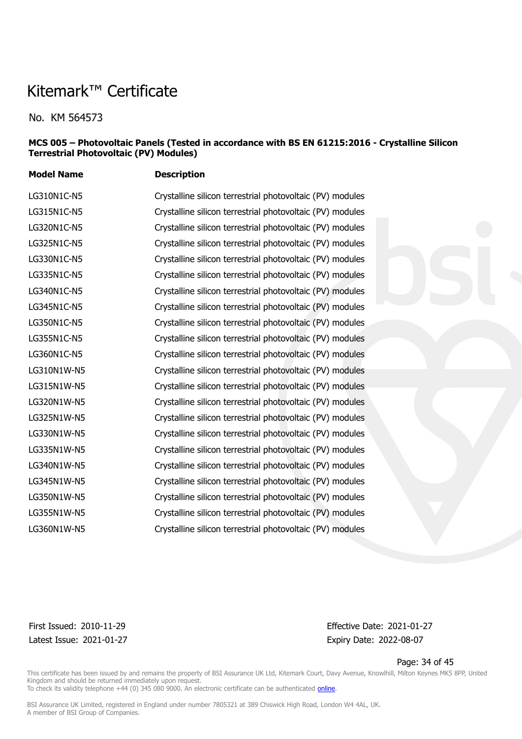No. KM 564573

#### **MCS 005 – Photovoltaic Panels (Tested in accordance with BS EN 61215:2016 - Crystalline Silicon Terrestrial Photovoltaic (PV) Modules)**

**Model Name Description** LG310N1C-N5 Crystalline silicon terrestrial photovoltaic (PV) modules LG315N1C-N5 Crystalline silicon terrestrial photovoltaic (PV) modules LG320N1C-N5 Crystalline silicon terrestrial photovoltaic (PV) modules LG325N1C-N5 Crystalline silicon terrestrial photovoltaic (PV) modules LG330N1C-N5 Crystalline silicon terrestrial photovoltaic (PV) modules LG335N1C-N5 Crystalline silicon terrestrial photovoltaic (PV) modules LG340N1C-N5 Crystalline silicon terrestrial photovoltaic (PV) modules LG345N1C-N5 Crystalline silicon terrestrial photovoltaic (PV) modules LG350N1C-N5 Crystalline silicon terrestrial photovoltaic (PV) modules LG355N1C-N5 Crystalline silicon terrestrial photovoltaic (PV) modules LG360N1C-N5 Crystalline silicon terrestrial photovoltaic (PV) modules LG310N1W-N5 Crystalline silicon terrestrial photovoltaic (PV) modules LG315N1W-N5 Crystalline silicon terrestrial photovoltaic (PV) modules LG320N1W-N5 Crystalline silicon terrestrial photovoltaic (PV) modules LG325N1W-N5 Crystalline silicon terrestrial photovoltaic (PV) modules LG330N1W-N5 Crystalline silicon terrestrial photovoltaic (PV) modules LG335N1W-N5 Crystalline silicon terrestrial photovoltaic (PV) modules LG340N1W-N5 Crystalline silicon terrestrial photovoltaic (PV) modules LG345N1W-N5 Crystalline silicon terrestrial photovoltaic (PV) modules LG350N1W-N5 Crystalline silicon terrestrial photovoltaic (PV) modules LG355N1W-N5 Crystalline silicon terrestrial photovoltaic (PV) modules LG360N1W-N5 Crystalline silicon terrestrial photovoltaic (PV) modules

Latest Issue: 2021-01-27 Expiry Date: 2022-08-07

First Issued: 2010-11-29 Effective Date: 2021-01-27

Page: 34 of 45

This certificate has been issued by and remains the property of BSI Assurance UK Ltd, Kitemark Court, Davy Avenue, Knowlhill, Milton Keynes MK5 8PP, United Kingdom and should be returned immediately upon request. To check its validity telephone +44 (0) 345 080 9000. An electronic certificate can be authenticated [online](https://pgplus.bsigroup.com/CertificateValidation/CertificateValidator.aspx?CertificateNumber=KM+564573&ReIssueDate=27%2f01%2f2021&Template=uk).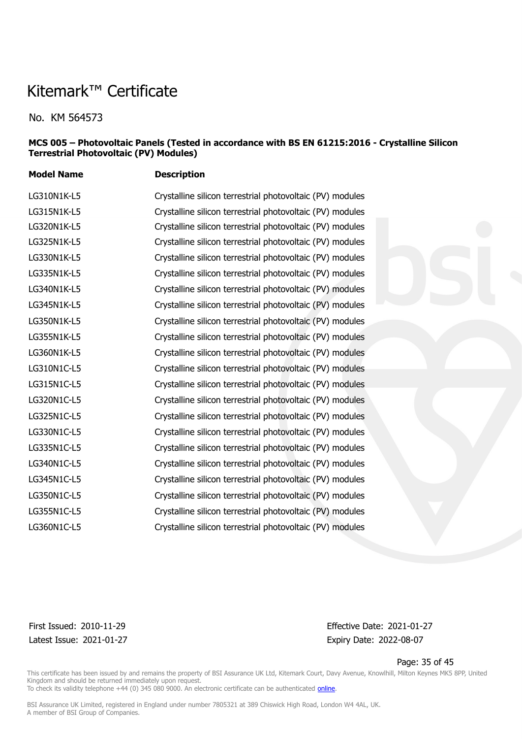**Model Name Description**

No. KM 564573

#### **MCS 005 – Photovoltaic Panels (Tested in accordance with BS EN 61215:2016 - Crystalline Silicon Terrestrial Photovoltaic (PV) Modules)**

LG310N1K-L5 Crystalline silicon terrestrial photovoltaic (PV) modules LG315N1K-L5 Crystalline silicon terrestrial photovoltaic (PV) modules LG320N1K-L5 Crystalline silicon terrestrial photovoltaic (PV) modules LG325N1K-L5 Crystalline silicon terrestrial photovoltaic (PV) modules LG330N1K-L5 Crystalline silicon terrestrial photovoltaic (PV) modules LG335N1K-L5 Crystalline silicon terrestrial photovoltaic (PV) modules LG340N1K-L5 Crystalline silicon terrestrial photovoltaic (PV) modules LG345N1K-L5 Crystalline silicon terrestrial photovoltaic (PV) modules LG350N1K-L5 Crystalline silicon terrestrial photovoltaic (PV) modules LG355N1K-L5 Crystalline silicon terrestrial photovoltaic (PV) modules LG360N1K-L5 Crystalline silicon terrestrial photovoltaic (PV) modules LG310N1C-L5 Crystalline silicon terrestrial photovoltaic (PV) modules LG315N1C-L5 Crystalline silicon terrestrial photovoltaic (PV) modules LG320N1C-L5 Crystalline silicon terrestrial photovoltaic (PV) modules LG325N1C-L5 Crystalline silicon terrestrial photovoltaic (PV) modules LG330N1C-L5 Crystalline silicon terrestrial photovoltaic (PV) modules LG335N1C-L5 Crystalline silicon terrestrial photovoltaic (PV) modules LG340N1C-L5 Crystalline silicon terrestrial photovoltaic (PV) modules LG345N1C-L5 Crystalline silicon terrestrial photovoltaic (PV) modules LG350N1C-L5 Crystalline silicon terrestrial photovoltaic (PV) modules LG355N1C-L5 Crystalline silicon terrestrial photovoltaic (PV) modules LG360N1C-L5 Crystalline silicon terrestrial photovoltaic (PV) modules

First Issued: 2010-11-29 Effective Date: 2021-01-27 Latest Issue: 2021-01-27 Expiry Date: 2022-08-07

Page: 35 of 45

This certificate has been issued by and remains the property of BSI Assurance UK Ltd, Kitemark Court, Davy Avenue, Knowlhill, Milton Keynes MK5 8PP, United Kingdom and should be returned immediately upon request. To check its validity telephone +44 (0) 345 080 9000. An electronic certificate can be authenticated [online](https://pgplus.bsigroup.com/CertificateValidation/CertificateValidator.aspx?CertificateNumber=KM+564573&ReIssueDate=27%2f01%2f2021&Template=uk).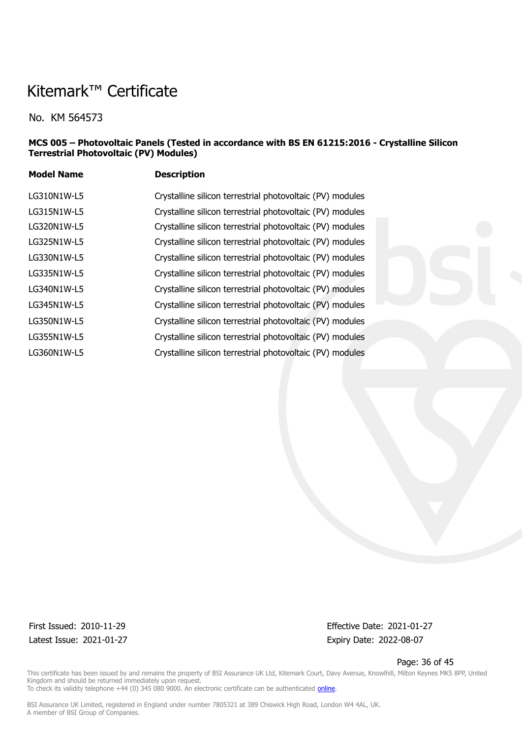No. KM 564573

#### **MCS 005 – Photovoltaic Panels (Tested in accordance with BS EN 61215:2016 - Crystalline Silicon Terrestrial Photovoltaic (PV) Modules)**

| <b>Model Name</b> | <b>Description</b>                                        |
|-------------------|-----------------------------------------------------------|
| LG310N1W-L5       | Crystalline silicon terrestrial photovoltaic (PV) modules |
| LG315N1W-L5       | Crystalline silicon terrestrial photovoltaic (PV) modules |
| LG320N1W-L5       | Crystalline silicon terrestrial photovoltaic (PV) modules |
| LG325N1W-L5       | Crystalline silicon terrestrial photovoltaic (PV) modules |
| LG330N1W-L5       | Crystalline silicon terrestrial photovoltaic (PV) modules |
| LG335N1W-L5       | Crystalline silicon terrestrial photovoltaic (PV) modules |
| LG340N1W-L5       | Crystalline silicon terrestrial photovoltaic (PV) modules |
| LG345N1W-L5       | Crystalline silicon terrestrial photovoltaic (PV) modules |
| LG350N1W-L5       | Crystalline silicon terrestrial photovoltaic (PV) modules |
| LG355N1W-L5       | Crystalline silicon terrestrial photovoltaic (PV) modules |
| LG360N1W-L5       | Crystalline silicon terrestrial photovoltaic (PV) modules |

Latest Issue: 2021-01-27 Expiry Date: 2022-08-07

First Issued: 2010-11-29 Effective Date: 2021-01-27

Page: 36 of 45

This certificate has been issued by and remains the property of BSI Assurance UK Ltd, Kitemark Court, Davy Avenue, Knowlhill, Milton Keynes MK5 8PP, United Kingdom and should be returned immediately upon request. To check its validity telephone +44 (0) 345 080 9000. An electronic certificate can be authenticated *[online](https://pgplus.bsigroup.com/CertificateValidation/CertificateValidator.aspx?CertificateNumber=KM+564573&ReIssueDate=27%2f01%2f2021&Template=uk)*.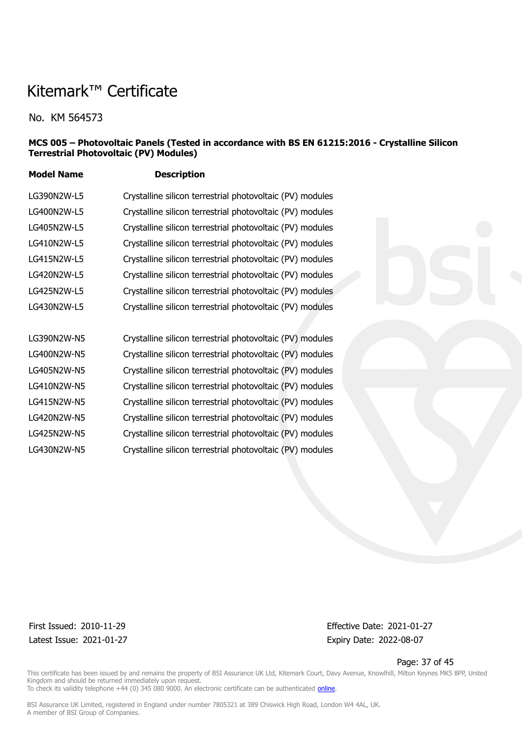No. KM 564573

#### **MCS 005 – Photovoltaic Panels (Tested in accordance with BS EN 61215:2016 - Crystalline Silicon Terrestrial Photovoltaic (PV) Modules)**

**Model Name Description**

| LG390N2W-L5 |                                                           |
|-------------|-----------------------------------------------------------|
|             | Crystalline silicon terrestrial photovoltaic (PV) modules |
| LG400N2W-L5 | Crystalline silicon terrestrial photovoltaic (PV) modules |
| LG405N2W-L5 | Crystalline silicon terrestrial photovoltaic (PV) modules |
| LG410N2W-L5 | Crystalline silicon terrestrial photovoltaic (PV) modules |
| LG415N2W-L5 | Crystalline silicon terrestrial photovoltaic (PV) modules |
| LG420N2W-L5 | Crystalline silicon terrestrial photovoltaic (PV) modules |
| LG425N2W-L5 | Crystalline silicon terrestrial photovoltaic (PV) modules |
| LG430N2W-L5 | Crystalline silicon terrestrial photovoltaic (PV) modules |
|             |                                                           |
| LG390N2W-N5 | Crystalline silicon terrestrial photovoltaic (PV) modules |
| LG400N2W-N5 | Crystalline silicon terrestrial photovoltaic (PV) modules |
| LG405N2W-N5 | Crystalline silicon terrestrial photovoltaic (PV) modules |
| LG410N2W-N5 | Crystalline silicon terrestrial photovoltaic (PV) modules |
| LG415N2W-N5 | Crystalline silicon terrestrial photovoltaic (PV) modules |
| LG420N2W-N5 | Crystalline silicon terrestrial photovoltaic (PV) modules |
|             |                                                           |

LG425N2W-N5 Crystalline silicon terrestrial photovoltaic (PV) modules LG430N2W-N5 Crystalline silicon terrestrial photovoltaic (PV) modules

Latest Issue: 2021-01-27 Expiry Date: 2022-08-07

First Issued: 2010-11-29 Effective Date: 2021-01-27

Page: 37 of 45

This certificate has been issued by and remains the property of BSI Assurance UK Ltd, Kitemark Court, Davy Avenue, Knowlhill, Milton Keynes MK5 8PP, United Kingdom and should be returned immediately upon request. To check its validity telephone +44 (0) 345 080 9000. An electronic certificate can be authenticated *[online](https://pgplus.bsigroup.com/CertificateValidation/CertificateValidator.aspx?CertificateNumber=KM+564573&ReIssueDate=27%2f01%2f2021&Template=uk)*.

BSI Assurance UK Limited, registered in England under number 7805321 at 389 Chiswick High Road, London W4 4AL, UK.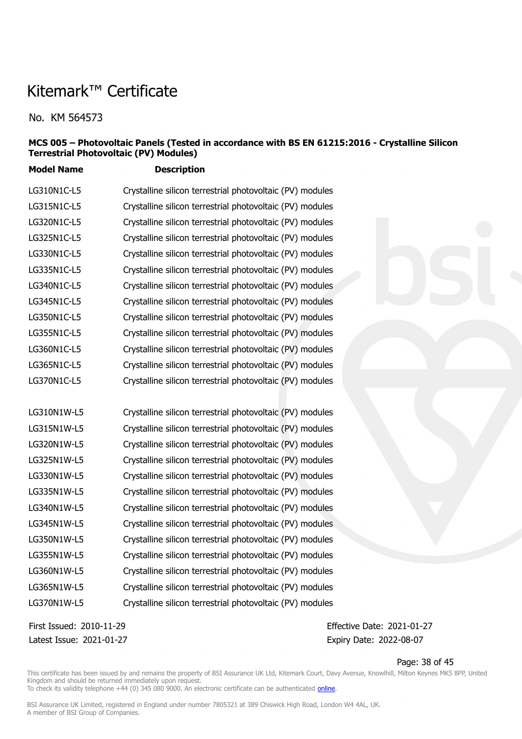No. KM 564573

#### **MCS 005 – Photovoltaic Panels (Tested in accordance with BS EN 61215:2016 - Crystalline Silicon Terrestrial Photovoltaic (PV) Modules)**

**Model Name Description**

| LG310N1C-L5 | Crystalline silicon terrestrial photovoltaic (PV) modules |
|-------------|-----------------------------------------------------------|
| LG315N1C-L5 | Crystalline silicon terrestrial photovoltaic (PV) modules |
| LG320N1C-L5 | Crystalline silicon terrestrial photovoltaic (PV) modules |
| LG325N1C-L5 | Crystalline silicon terrestrial photovoltaic (PV) modules |
| LG330N1C-L5 | Crystalline silicon terrestrial photovoltaic (PV) modules |
| LG335N1C-L5 | Crystalline silicon terrestrial photovoltaic (PV) modules |
| LG340N1C-L5 | Crystalline silicon terrestrial photovoltaic (PV) modules |
| LG345N1C-L5 | Crystalline silicon terrestrial photovoltaic (PV) modules |
| LG350N1C-L5 | Crystalline silicon terrestrial photovoltaic (PV) modules |
| LG355N1C-L5 | Crystalline silicon terrestrial photovoltaic (PV) modules |
| LG360N1C-L5 | Crystalline silicon terrestrial photovoltaic (PV) modules |
| LG365N1C-L5 | Crystalline silicon terrestrial photovoltaic (PV) modules |
| LG370N1C-L5 | Crystalline silicon terrestrial photovoltaic (PV) modules |

| LG310N1W-L5 | Crystalline silicon terrestrial photovoltaic (PV) modules |
|-------------|-----------------------------------------------------------|
| LG315N1W-L5 | Crystalline silicon terrestrial photovoltaic (PV) modules |
| LG320N1W-L5 | Crystalline silicon terrestrial photovoltaic (PV) modules |
| LG325N1W-L5 | Crystalline silicon terrestrial photovoltaic (PV) modules |
| LG330N1W-L5 | Crystalline silicon terrestrial photovoltaic (PV) modules |
| LG335N1W-L5 | Crystalline silicon terrestrial photovoltaic (PV) modules |
| LG340N1W-L5 | Crystalline silicon terrestrial photovoltaic (PV) modules |
| LG345N1W-L5 | Crystalline silicon terrestrial photovoltaic (PV) modules |
| LG350N1W-L5 | Crystalline silicon terrestrial photovoltaic (PV) modules |
| LG355N1W-L5 | Crystalline silicon terrestrial photovoltaic (PV) modules |
| LG360N1W-L5 | Crystalline silicon terrestrial photovoltaic (PV) modules |
| LG365N1W-L5 | Crystalline silicon terrestrial photovoltaic (PV) modules |
| LG370N1W-L5 | Crystalline silicon terrestrial photovoltaic (PV) modules |

Latest Issue: 2021-01-27 Expiry Date: 2022-08-07

First Issued: 2010-11-29 Effective Date: 2021-01-27

Page: 38 of 45

This certificate has been issued by and remains the property of BSI Assurance UK Ltd, Kitemark Court, Davy Avenue, Knowlhill, Milton Keynes MK5 8PP, United Kingdom and should be returned immediately upon request. To check its validity telephone +44 (0) 345 080 9000. An electronic certificate can be authenticated *[online](https://pgplus.bsigroup.com/CertificateValidation/CertificateValidator.aspx?CertificateNumber=KM+564573&ReIssueDate=27%2f01%2f2021&Template=uk)*.

BSI Assurance UK Limited, registered in England under number 7805321 at 389 Chiswick High Road, London W4 4AL, UK.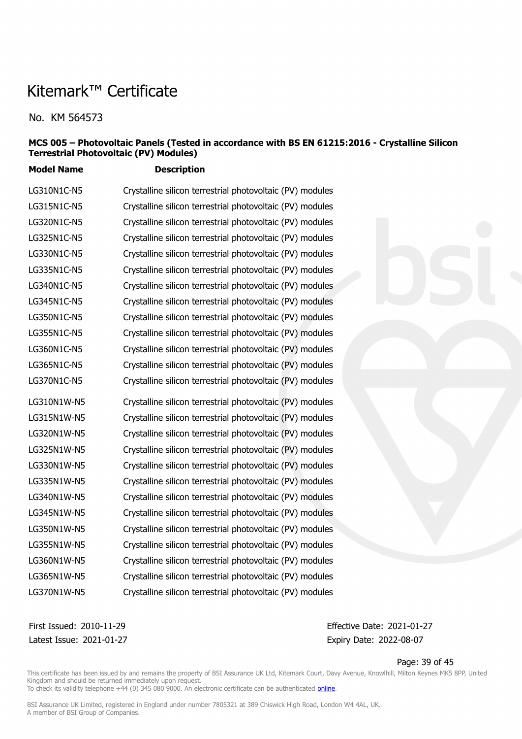No. KM 564573

#### **MCS 005 – Photovoltaic Panels (Tested in accordance with BS EN 61215:2016 - Crystalline Silicon Terrestrial Photovoltaic (PV) Modules)**

**Model Name Description**

LG310N1C-N5 Crystalline silicon terrestrial photovoltaic (PV) modules LG315N1C-N5 Crystalline silicon terrestrial photovoltaic (PV) modules LG320N1C-N5 Crystalline silicon terrestrial photovoltaic (PV) modules LG325N1C-N5 Crystalline silicon terrestrial photovoltaic (PV) modules LG330N1C-N5 Crystalline silicon terrestrial photovoltaic (PV) modules LG335N1C-N5 Crystalline silicon terrestrial photovoltaic (PV) modules LG340N1C-N5 Crystalline silicon terrestrial photovoltaic (PV) modules LG345N1C-N5 Crystalline silicon terrestrial photovoltaic (PV) modules LG350N1C-N5 Crystalline silicon terrestrial photovoltaic (PV) modules LG355N1C-N5 Crystalline silicon terrestrial photovoltaic (PV) modules LG360N1C-N5 Crystalline silicon terrestrial photovoltaic (PV) modules LG365N1C-N5 Crystalline silicon terrestrial photovoltaic (PV) modules LG370N1C-N5 Crystalline silicon terrestrial photovoltaic (PV) modules LG310N1W-N5 Crystalline silicon terrestrial photovoltaic (PV) modules LG315N1W-N5 Crystalline silicon terrestrial photovoltaic (PV) modules LG320N1W-N5 Crystalline silicon terrestrial photovoltaic (PV) modules LG325N1W-N5 Crystalline silicon terrestrial photovoltaic (PV) modules LG330N1W-N5 Crystalline silicon terrestrial photovoltaic (PV) modules LG335N1W-N5 Crystalline silicon terrestrial photovoltaic (PV) modules LG340N1W-N5 Crystalline silicon terrestrial photovoltaic (PV) modules LG345N1W-N5 Crystalline silicon terrestrial photovoltaic (PV) modules LG350N1W-N5 Crystalline silicon terrestrial photovoltaic (PV) modules LG355N1W-N5 Crystalline silicon terrestrial photovoltaic (PV) modules LG360N1W-N5 Crystalline silicon terrestrial photovoltaic (PV) modules LG365N1W-N5 Crystalline silicon terrestrial photovoltaic (PV) modules LG370N1W-N5 Crystalline silicon terrestrial photovoltaic (PV) modules

Latest Issue: 2021-01-27 Expiry Date: 2022-08-07

First Issued: 2010-11-29 Effective Date: 2021-01-27

Page: 39 of 45

This certificate has been issued by and remains the property of BSI Assurance UK Ltd, Kitemark Court, Davy Avenue, Knowlhill, Milton Keynes MK5 8PP, United Kingdom and should be returned immediately upon request. To check its validity telephone +44 (0) 345 080 9000. An electronic certificate can be authenticated *[online](https://pgplus.bsigroup.com/CertificateValidation/CertificateValidator.aspx?CertificateNumber=KM+564573&ReIssueDate=27%2f01%2f2021&Template=uk)*.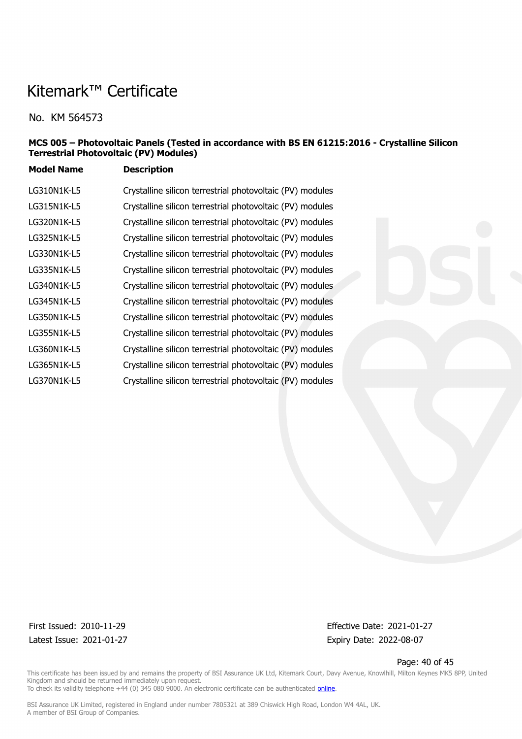No. KM 564573

### **MCS 005 – Photovoltaic Panels (Tested in accordance with BS EN 61215:2016 - Crystalline Silicon Terrestrial Photovoltaic (PV) Modules)**

**Model Name Description**

| LG310N1K-L5 | Crystalline silicon terrestrial photovoltaic (PV) modules |
|-------------|-----------------------------------------------------------|
| LG315N1K-L5 | Crystalline silicon terrestrial photovoltaic (PV) modules |
| LG320N1K-L5 | Crystalline silicon terrestrial photovoltaic (PV) modules |
| LG325N1K-L5 | Crystalline silicon terrestrial photovoltaic (PV) modules |
| LG330N1K-L5 | Crystalline silicon terrestrial photovoltaic (PV) modules |
| LG335N1K-L5 | Crystalline silicon terrestrial photovoltaic (PV) modules |
| LG340N1K-L5 | Crystalline silicon terrestrial photovoltaic (PV) modules |
| LG345N1K-L5 | Crystalline silicon terrestrial photovoltaic (PV) modules |
| LG350N1K-L5 | Crystalline silicon terrestrial photovoltaic (PV) modules |
| LG355N1K-L5 | Crystalline silicon terrestrial photovoltaic (PV) modules |
| LG360N1K-L5 | Crystalline silicon terrestrial photovoltaic (PV) modules |
| LG365N1K-L5 | Crystalline silicon terrestrial photovoltaic (PV) modules |
| LG370N1K-L5 | Crystalline silicon terrestrial photovoltaic (PV) modules |

Latest Issue: 2021-01-27 Expiry Date: 2022-08-07

First Issued: 2010-11-29 Effective Date: 2021-01-27

Page: 40 of 45

This certificate has been issued by and remains the property of BSI Assurance UK Ltd, Kitemark Court, Davy Avenue, Knowlhill, Milton Keynes MK5 8PP, United Kingdom and should be returned immediately upon request. To check its validity telephone +44 (0) 345 080 9000. An electronic certificate can be authenticated *[online](https://pgplus.bsigroup.com/CertificateValidation/CertificateValidator.aspx?CertificateNumber=KM+564573&ReIssueDate=27%2f01%2f2021&Template=uk)*.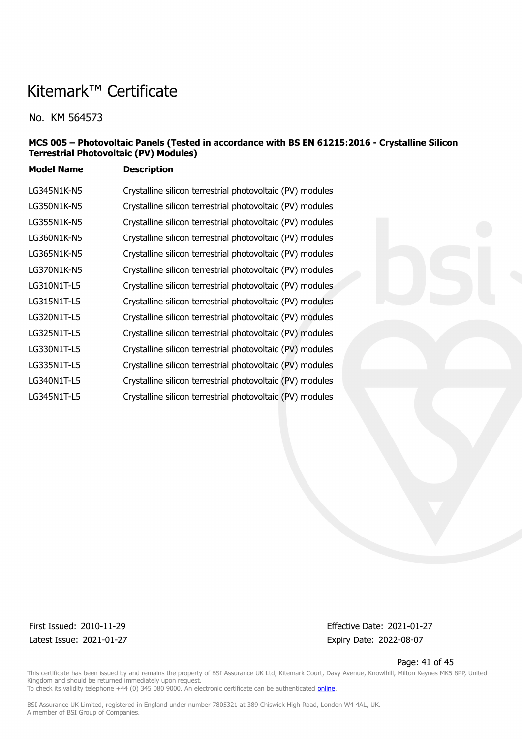No. KM 564573

### **MCS 005 – Photovoltaic Panels (Tested in accordance with BS EN 61215:2016 - Crystalline Silicon Terrestrial Photovoltaic (PV) Modules)**

**Model Name Description**

| LG345N1K-N5 | Crystalline silicon terrestrial photovoltaic (PV) modules |
|-------------|-----------------------------------------------------------|
| LG350N1K-N5 | Crystalline silicon terrestrial photovoltaic (PV) modules |
| LG355N1K-N5 | Crystalline silicon terrestrial photovoltaic (PV) modules |
| LG360N1K-N5 | Crystalline silicon terrestrial photovoltaic (PV) modules |
| LG365N1K-N5 | Crystalline silicon terrestrial photovoltaic (PV) modules |
| LG370N1K-N5 | Crystalline silicon terrestrial photovoltaic (PV) modules |
| LG310N1T-L5 | Crystalline silicon terrestrial photovoltaic (PV) modules |
| LG315N1T-L5 | Crystalline silicon terrestrial photovoltaic (PV) modules |
| LG320N1T-L5 | Crystalline silicon terrestrial photovoltaic (PV) modules |
| LG325N1T-L5 | Crystalline silicon terrestrial photovoltaic (PV) modules |
| LG330N1T-L5 | Crystalline silicon terrestrial photovoltaic (PV) modules |
| LG335N1T-L5 | Crystalline silicon terrestrial photovoltaic (PV) modules |
| LG340N1T-L5 | Crystalline silicon terrestrial photovoltaic (PV) modules |
| LG345N1T-L5 | Crystalline silicon terrestrial photovoltaic (PV) modules |

Latest Issue: 2021-01-27 Expiry Date: 2022-08-07

First Issued: 2010-11-29 Effective Date: 2021-01-27

Page: 41 of 45

This certificate has been issued by and remains the property of BSI Assurance UK Ltd, Kitemark Court, Davy Avenue, Knowlhill, Milton Keynes MK5 8PP, United Kingdom and should be returned immediately upon request. To check its validity telephone +44 (0) 345 080 9000. An electronic certificate can be authenticated *[online](https://pgplus.bsigroup.com/CertificateValidation/CertificateValidator.aspx?CertificateNumber=KM+564573&ReIssueDate=27%2f01%2f2021&Template=uk)*.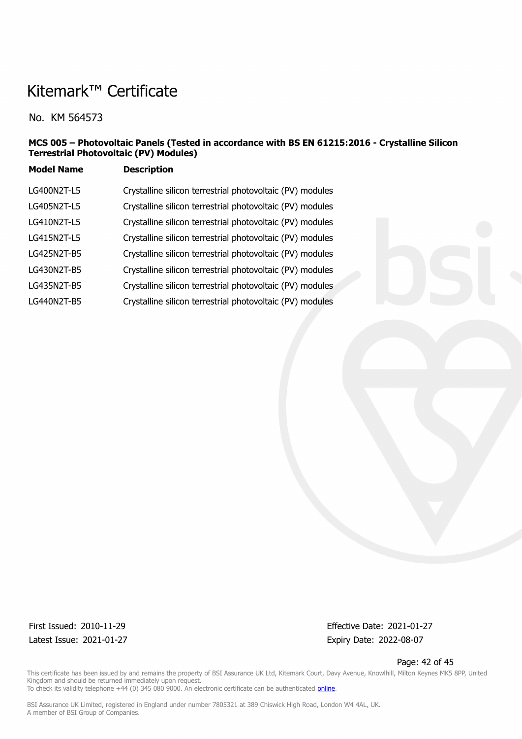No. KM 564573

### **MCS 005 – Photovoltaic Panels (Tested in accordance with BS EN 61215:2016 - Crystalline Silicon Terrestrial Photovoltaic (PV) Modules)**

| <b>Model Name</b> | <b>Description</b> |
|-------------------|--------------------|
|-------------------|--------------------|

| LG400N2T-L5 | Crystalline silicon terrestrial photovoltaic (PV) modules |
|-------------|-----------------------------------------------------------|
| LG405N2T-L5 | Crystalline silicon terrestrial photovoltaic (PV) modules |
| LG410N2T-L5 | Crystalline silicon terrestrial photovoltaic (PV) modules |
| LG415N2T-L5 | Crystalline silicon terrestrial photovoltaic (PV) modules |
| LG425N2T-B5 | Crystalline silicon terrestrial photovoltaic (PV) modules |
| LG430N2T-B5 | Crystalline silicon terrestrial photovoltaic (PV) modules |
| LG435N2T-B5 | Crystalline silicon terrestrial photovoltaic (PV) modules |
| LG440N2T-B5 | Crystalline silicon terrestrial photovoltaic (PV) modules |
|             |                                                           |

Latest Issue: 2021-01-27 Expiry Date: 2022-08-07

First Issued: 2010-11-29 Effective Date: 2021-01-27

Page: 42 of 45

This certificate has been issued by and remains the property of BSI Assurance UK Ltd, Kitemark Court, Davy Avenue, Knowlhill, Milton Keynes MK5 8PP, United Kingdom and should be returned immediately upon request. To check its validity telephone +44 (0) 345 080 9000. An electronic certificate can be authenticated *[online](https://pgplus.bsigroup.com/CertificateValidation/CertificateValidator.aspx?CertificateNumber=KM+564573&ReIssueDate=27%2f01%2f2021&Template=uk)*.

BSI Assurance UK Limited, registered in England under number 7805321 at 389 Chiswick High Road, London W4 4AL, UK.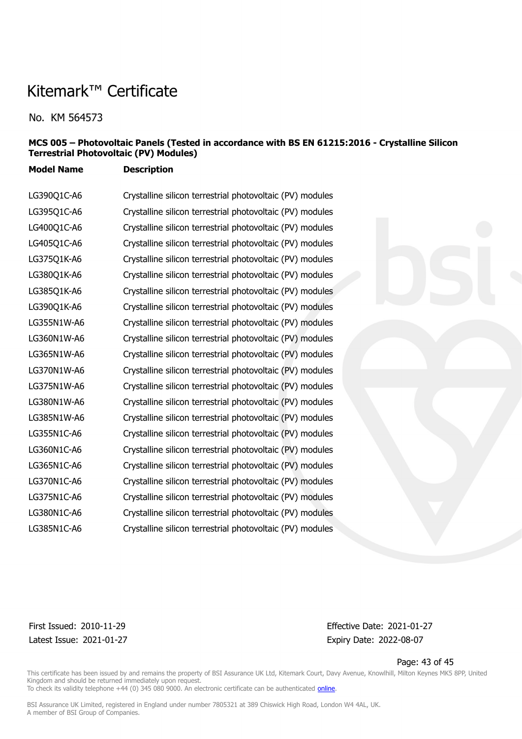No. KM 564573

#### **MCS 005 – Photovoltaic Panels (Tested in accordance with BS EN 61215:2016 - Crystalline Silicon Terrestrial Photovoltaic (PV) Modules)**

**Model Name Description**

LG390Q1C-A6 Crystalline silicon terrestrial photovoltaic (PV) modules LG395Q1C-A6 Crystalline silicon terrestrial photovoltaic (PV) modules LG400Q1C-A6 Crystalline silicon terrestrial photovoltaic (PV) modules LG405Q1C-A6 Crystalline silicon terrestrial photovoltaic (PV) modules LG375Q1K-A6 Crystalline silicon terrestrial photovoltaic (PV) modules LG380Q1K-A6 Crystalline silicon terrestrial photovoltaic (PV) modules LG385Q1K-A6 Crystalline silicon terrestrial photovoltaic (PV) modules LG390Q1K-A6 Crystalline silicon terrestrial photovoltaic (PV) modules LG355N1W-A6 Crystalline silicon terrestrial photovoltaic (PV) modules LG360N1W-A6 Crystalline silicon terrestrial photovoltaic (PV) modules LG365N1W-A6 Crystalline silicon terrestrial photovoltaic (PV) modules LG370N1W-A6 Crystalline silicon terrestrial photovoltaic (PV) modules LG375N1W-A6 Crystalline silicon terrestrial photovoltaic (PV) modules LG380N1W-A6 Crystalline silicon terrestrial photovoltaic (PV) modules LG385N1W-A6 Crystalline silicon terrestrial photovoltaic (PV) modules LG355N1C-A6 Crystalline silicon terrestrial photovoltaic (PV) modules LG360N1C-A6 Crystalline silicon terrestrial photovoltaic (PV) modules LG365N1C-A6 Crystalline silicon terrestrial photovoltaic (PV) modules LG370N1C-A6 Crystalline silicon terrestrial photovoltaic (PV) modules LG375N1C-A6 Crystalline silicon terrestrial photovoltaic (PV) modules LG380N1C-A6 Crystalline silicon terrestrial photovoltaic (PV) modules LG385N1C-A6 Crystalline silicon terrestrial photovoltaic (PV) modules



Latest Issue: 2021-01-27 Expiry Date: 2022-08-07

First Issued: 2010-11-29 Effective Date: 2021-01-27

Page: 43 of 45

This certificate has been issued by and remains the property of BSI Assurance UK Ltd, Kitemark Court, Davy Avenue, Knowlhill, Milton Keynes MK5 8PP, United Kingdom and should be returned immediately upon request. To check its validity telephone +44 (0) 345 080 9000. An electronic certificate can be authenticated *[online](https://pgplus.bsigroup.com/CertificateValidation/CertificateValidator.aspx?CertificateNumber=KM+564573&ReIssueDate=27%2f01%2f2021&Template=uk)*.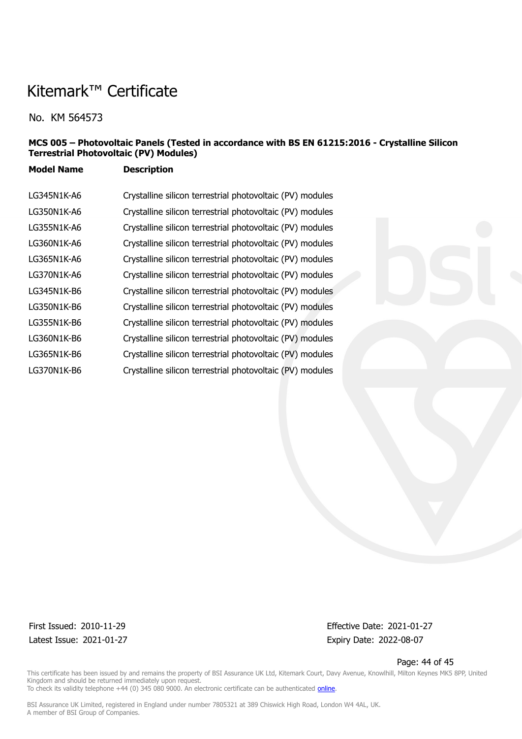No. KM 564573

### **MCS 005 – Photovoltaic Panels (Tested in accordance with BS EN 61215:2016 - Crystalline Silicon Terrestrial Photovoltaic (PV) Modules)**

**Model Name Description**

| LG345N1K-A6 | Crystalline silicon terrestrial photovoltaic (PV) modules |
|-------------|-----------------------------------------------------------|
| LG350N1K-A6 | Crystalline silicon terrestrial photovoltaic (PV) modules |
| LG355N1K-A6 | Crystalline silicon terrestrial photovoltaic (PV) modules |
| LG360N1K-A6 | Crystalline silicon terrestrial photovoltaic (PV) modules |
| LG365N1K-A6 | Crystalline silicon terrestrial photovoltaic (PV) modules |
| LG370N1K-A6 | Crystalline silicon terrestrial photovoltaic (PV) modules |
| LG345N1K-B6 | Crystalline silicon terrestrial photovoltaic (PV) modules |
| LG350N1K-B6 | Crystalline silicon terrestrial photovoltaic (PV) modules |
| LG355N1K-B6 | Crystalline silicon terrestrial photovoltaic (PV) modules |
| LG360N1K-B6 | Crystalline silicon terrestrial photovoltaic (PV) modules |
| LG365N1K-B6 | Crystalline silicon terrestrial photovoltaic (PV) modules |
| LG370N1K-B6 | Crystalline silicon terrestrial photovoltaic (PV) modules |

Latest Issue: 2021-01-27 Expiry Date: 2022-08-07

First Issued: 2010-11-29 Effective Date: 2021-01-27

Page: 44 of 45

This certificate has been issued by and remains the property of BSI Assurance UK Ltd, Kitemark Court, Davy Avenue, Knowlhill, Milton Keynes MK5 8PP, United Kingdom and should be returned immediately upon request. To check its validity telephone +44 (0) 345 080 9000. An electronic certificate can be authenticated *[online](https://pgplus.bsigroup.com/CertificateValidation/CertificateValidator.aspx?CertificateNumber=KM+564573&ReIssueDate=27%2f01%2f2021&Template=uk)*.